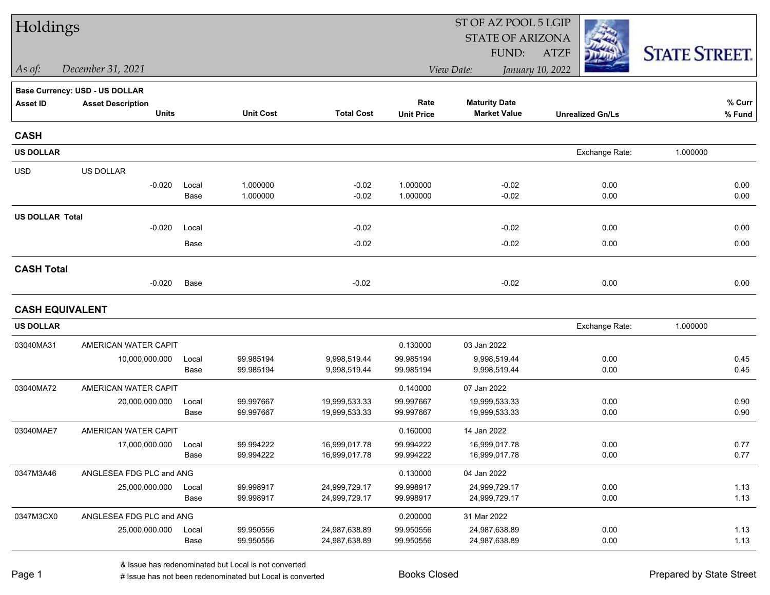| Holdings               |                                          |               |                        |                                | ST OF AZ POOL 5 LGIP      |                                             |                         |                      |  |  |
|------------------------|------------------------------------------|---------------|------------------------|--------------------------------|---------------------------|---------------------------------------------|-------------------------|----------------------|--|--|
|                        |                                          |               |                        |                                |                           | <b>STATE OF ARIZONA</b>                     |                         |                      |  |  |
|                        |                                          |               |                        |                                |                           | FUND:<br>View Date:                         | ATZF                    | <b>STATE STREET.</b> |  |  |
| As of:                 | December 31, 2021                        |               |                        |                                |                           |                                             | January 10, 2022        |                      |  |  |
|                        | <b>Base Currency: USD - US DOLLAR</b>    |               |                        |                                |                           |                                             |                         |                      |  |  |
| <b>Asset ID</b>        | <b>Asset Description</b><br><b>Units</b> |               | <b>Unit Cost</b>       | <b>Total Cost</b>              | Rate<br><b>Unit Price</b> | <b>Maturity Date</b><br><b>Market Value</b> | <b>Unrealized Gn/Ls</b> | % Curr<br>% Fund     |  |  |
| <b>CASH</b>            |                                          |               |                        |                                |                           |                                             |                         |                      |  |  |
| <b>US DOLLAR</b>       |                                          |               |                        |                                |                           |                                             | Exchange Rate:          | 1.000000             |  |  |
| <b>USD</b>             | US DOLLAR                                |               |                        |                                |                           |                                             |                         |                      |  |  |
|                        | $-0.020$                                 | Local<br>Base | 1.000000<br>1.000000   | $-0.02$<br>$-0.02$             | 1.000000<br>1.000000      | $-0.02$<br>$-0.02$                          | 0.00<br>0.00            | 0.00<br>0.00         |  |  |
| <b>US DOLLAR Total</b> |                                          |               |                        |                                |                           |                                             |                         |                      |  |  |
|                        | $-0.020$                                 | Local         |                        | $-0.02$                        |                           | $-0.02$                                     | 0.00                    | 0.00                 |  |  |
|                        |                                          | Base          |                        | $-0.02$                        |                           | $-0.02$                                     | 0.00                    | 0.00                 |  |  |
| <b>CASH Total</b>      |                                          |               |                        |                                |                           |                                             |                         |                      |  |  |
|                        | $-0.020$                                 | Base          |                        | $-0.02$                        |                           | $-0.02$                                     | 0.00                    | 0.00                 |  |  |
|                        | <b>CASH EQUIVALENT</b>                   |               |                        |                                |                           |                                             |                         |                      |  |  |
| <b>US DOLLAR</b>       |                                          |               |                        |                                |                           |                                             | Exchange Rate:          | 1.000000             |  |  |
| 03040MA31              | AMERICAN WATER CAPIT                     |               |                        |                                | 0.130000                  | 03 Jan 2022                                 |                         |                      |  |  |
|                        | 10,000,000.000                           | Local         | 99.985194              | 9,998,519.44                   | 99.985194                 | 9,998,519.44                                | 0.00                    | 0.45                 |  |  |
|                        |                                          | Base          | 99.985194              | 9,998,519.44                   | 99.985194                 | 9,998,519.44                                | 0.00                    | 0.45                 |  |  |
| 03040MA72              | AMERICAN WATER CAPIT                     |               |                        |                                | 0.140000                  | 07 Jan 2022                                 |                         |                      |  |  |
|                        | 20,000,000.000                           | Local         | 99.997667              | 19,999,533.33                  | 99.997667                 | 19,999,533.33                               | 0.00                    | 0.90                 |  |  |
|                        |                                          | Base          | 99.997667              | 19,999,533.33                  | 99.997667                 | 19,999,533.33                               | 0.00                    | 0.90                 |  |  |
| 03040MAE7              | AMERICAN WATER CAPIT                     |               |                        |                                | 0.160000                  | 14 Jan 2022                                 |                         |                      |  |  |
|                        | 17,000,000.000                           | Local<br>Base | 99.994222<br>99.994222 | 16,999,017.78<br>16,999,017.78 | 99.994222<br>99.994222    | 16,999,017.78<br>16,999,017.78              | 0.00<br>0.00            | 0.77<br>0.77         |  |  |
| 0347M3A46              | ANGLESEA FDG PLC and ANG                 |               |                        |                                | 0.130000                  | 04 Jan 2022                                 |                         |                      |  |  |
|                        | 25,000,000.000                           | Local         | 99.998917              | 24,999,729.17                  | 99.998917                 | 24,999,729.17                               | 0.00                    | 1.13                 |  |  |
|                        |                                          | Base          | 99.998917              | 24,999,729.17                  | 99.998917                 | 24,999,729.17                               | 0.00                    | 1.13                 |  |  |
| 0347M3CX0              | ANGLESEA FDG PLC and ANG                 |               |                        |                                | 0.200000                  | 31 Mar 2022                                 |                         |                      |  |  |
|                        | 25,000,000.000                           | Local         | 99.950556              | 24,987,638.89                  | 99.950556                 | 24,987,638.89                               | 0.00                    | 1.13                 |  |  |
|                        |                                          | Base          | 99.950556              | 24,987,638.89                  | 99.950556                 | 24,987,638.89                               | 0.00                    | 1.13                 |  |  |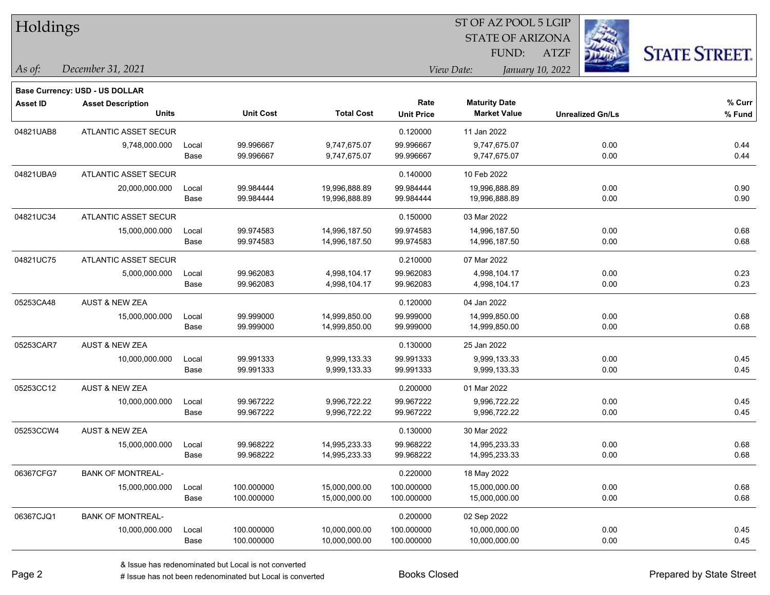| Holdings        |                                       |       |                  |                   | 51 OF AZ POOL 5 LGIP |                                |                         |                      |  |  |
|-----------------|---------------------------------------|-------|------------------|-------------------|----------------------|--------------------------------|-------------------------|----------------------|--|--|
|                 |                                       |       |                  |                   |                      | <b>STATE OF ARIZONA</b>        |                         |                      |  |  |
|                 |                                       |       |                  |                   |                      | FUND:                          | <b>ATZF</b>             | <b>STATE STREET.</b> |  |  |
| As of:          | December 31, 2021                     |       |                  |                   |                      | View Date:<br>January 10, 2022 |                         |                      |  |  |
|                 | <b>Base Currency: USD - US DOLLAR</b> |       |                  |                   |                      |                                |                         |                      |  |  |
| <b>Asset ID</b> | <b>Asset Description</b>              |       |                  |                   | Rate                 | <b>Maturity Date</b>           |                         | % Curr               |  |  |
|                 | <b>Units</b>                          |       | <b>Unit Cost</b> | <b>Total Cost</b> | <b>Unit Price</b>    | <b>Market Value</b>            | <b>Unrealized Gn/Ls</b> | % Fund               |  |  |
| 04821UAB8       | ATLANTIC ASSET SECUR                  |       |                  |                   | 0.120000             | 11 Jan 2022                    |                         |                      |  |  |
|                 | 9,748,000.000                         | Local | 99.996667        | 9,747,675.07      | 99.996667            | 9,747,675.07                   | 0.00                    | 0.44                 |  |  |
|                 |                                       | Base  | 99.996667        | 9,747,675.07      | 99.996667            | 9,747,675.07                   | 0.00                    | 0.44                 |  |  |
| 04821UBA9       | <b>ATLANTIC ASSET SECUR</b>           |       |                  |                   | 0.140000             | 10 Feb 2022                    |                         |                      |  |  |
|                 | 20,000,000.000                        | Local | 99.984444        | 19,996,888.89     | 99.984444            | 19,996,888.89                  | 0.00                    | 0.90                 |  |  |
|                 |                                       | Base  | 99.984444        | 19,996,888.89     | 99.984444            | 19,996,888.89                  | 0.00                    | 0.90                 |  |  |
| 04821UC34       | <b>ATLANTIC ASSET SECUR</b>           |       |                  |                   | 0.150000             | 03 Mar 2022                    |                         |                      |  |  |
|                 | 15,000,000.000                        | Local | 99.974583        | 14,996,187.50     | 99.974583            | 14,996,187.50                  | 0.00                    | 0.68                 |  |  |
|                 |                                       | Base  | 99.974583        | 14,996,187.50     | 99.974583            | 14,996,187.50                  | 0.00                    | 0.68                 |  |  |
| 04821UC75       | ATLANTIC ASSET SECUR                  |       |                  |                   | 0.210000             | 07 Mar 2022                    |                         |                      |  |  |
|                 | 5,000,000.000                         | Local | 99.962083        | 4,998,104.17      | 99.962083            | 4,998,104.17                   | 0.00                    | 0.23                 |  |  |
|                 |                                       | Base  | 99.962083        | 4,998,104.17      | 99.962083            | 4,998,104.17                   | 0.00                    | 0.23                 |  |  |
| 05253CA48       | <b>AUST &amp; NEW ZEA</b>             |       |                  |                   | 0.120000             | 04 Jan 2022                    |                         |                      |  |  |
|                 | 15,000,000.000                        | Local | 99.999000        | 14,999,850.00     | 99.999000            | 14,999,850.00                  | 0.00                    | 0.68                 |  |  |
|                 |                                       | Base  | 99.999000        | 14,999,850.00     | 99.999000            | 14,999,850.00                  | 0.00                    | 0.68                 |  |  |
| 05253CAR7       | <b>AUST &amp; NEW ZEA</b>             |       |                  |                   | 0.130000             | 25 Jan 2022                    |                         |                      |  |  |
|                 | 10,000,000.000                        | Local | 99.991333        | 9,999,133.33      | 99.991333            | 9,999,133.33                   | 0.00                    | 0.45                 |  |  |
|                 |                                       | Base  | 99.991333        | 9,999,133.33      | 99.991333            | 9,999,133.33                   | 0.00                    | 0.45                 |  |  |
| 05253CC12       | AUST & NEW ZEA                        |       |                  |                   | 0.200000             | 01 Mar 2022                    |                         |                      |  |  |
|                 | 10,000,000.000                        | Local | 99.967222        | 9,996,722.22      | 99.967222            | 9,996,722.22                   | 0.00                    | 0.45                 |  |  |
|                 |                                       | Base  | 99.967222        | 9,996,722.22      | 99.967222            | 9,996,722.22                   | 0.00                    | 0.45                 |  |  |
| 05253CCW4       | <b>AUST &amp; NEW ZEA</b>             |       |                  |                   | 0.130000             | 30 Mar 2022                    |                         |                      |  |  |
|                 | 15,000,000.000                        | Local | 99.968222        | 14,995,233.33     | 99.968222            | 14,995,233.33                  | 0.00                    | 0.68                 |  |  |
|                 |                                       | Base  | 99.968222        | 14,995,233.33     | 99.968222            | 14,995,233.33                  | 0.00                    | 0.68                 |  |  |
| 06367CFG7       | <b>BANK OF MONTREAL-</b>              |       |                  |                   | 0.220000             | 18 May 2022                    |                         |                      |  |  |
|                 | 15,000,000.000                        | Local | 100.000000       | 15,000,000.00     | 100.000000           | 15,000,000.00                  | 0.00                    | 0.68                 |  |  |
|                 |                                       | Base  | 100.000000       | 15,000,000.00     | 100.000000           | 15,000,000.00                  | 0.00                    | 0.68                 |  |  |
| 06367CJQ1       | <b>BANK OF MONTREAL-</b>              |       |                  |                   | 0.200000             | 02 Sep 2022                    |                         |                      |  |  |
|                 | 10,000,000.000                        | Local | 100.000000       | 10,000,000.00     | 100.000000           | 10,000,000.00                  | 0.00                    | 0.45                 |  |  |
|                 |                                       | Base  | 100.000000       | 10,000,000.00     | 100.000000           | 10,000,000.00                  | 0.00                    | 0.45                 |  |  |

 $ST$  OF AZ POOL 5 LGIP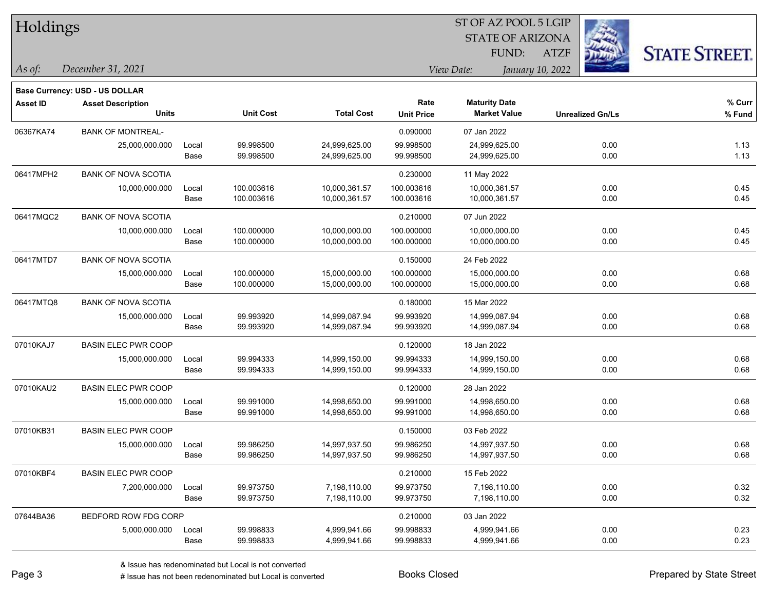| Holdings        |                                       |       |                  |                   |                   | ST OF AZ POOL 5 LGIP           |                         |                      |
|-----------------|---------------------------------------|-------|------------------|-------------------|-------------------|--------------------------------|-------------------------|----------------------|
|                 |                                       |       |                  |                   |                   | <b>STATE OF ARIZONA</b>        | 243                     |                      |
|                 |                                       |       |                  |                   |                   | FUND:                          | <b>ATZF</b>             | <b>STATE STREET.</b> |
| As of:          | December 31, 2021                     |       |                  |                   |                   | View Date:<br>January 10, 2022 |                         |                      |
|                 | <b>Base Currency: USD - US DOLLAR</b> |       |                  |                   |                   |                                |                         |                      |
| <b>Asset ID</b> | <b>Asset Description</b>              |       |                  |                   | Rate              | <b>Maturity Date</b>           |                         | % Curr               |
|                 | <b>Units</b>                          |       | <b>Unit Cost</b> | <b>Total Cost</b> | <b>Unit Price</b> | <b>Market Value</b>            | <b>Unrealized Gn/Ls</b> | % Fund               |
| 06367KA74       | <b>BANK OF MONTREAL-</b>              |       |                  |                   | 0.090000          | 07 Jan 2022                    |                         |                      |
|                 | 25,000,000.000                        | Local | 99.998500        | 24,999,625.00     | 99.998500         | 24,999,625.00                  | 0.00                    | 1.13                 |
|                 |                                       | Base  | 99.998500        | 24,999,625.00     | 99.998500         | 24,999,625.00                  | 0.00                    | 1.13                 |
| 06417MPH2       | <b>BANK OF NOVA SCOTIA</b>            |       |                  |                   | 0.230000          | 11 May 2022                    |                         |                      |
|                 | 10,000,000.000                        | Local | 100.003616       | 10,000,361.57     | 100.003616        | 10,000,361.57                  | 0.00                    | 0.45                 |
|                 |                                       | Base  | 100.003616       | 10,000,361.57     | 100.003616        | 10,000,361.57                  | 0.00                    | 0.45                 |
| 06417MQC2       | <b>BANK OF NOVA SCOTIA</b>            |       |                  |                   | 0.210000          | 07 Jun 2022                    |                         |                      |
|                 | 10,000,000.000                        | Local | 100.000000       | 10,000,000.00     | 100.000000        | 10,000,000.00                  | 0.00                    | 0.45                 |
|                 |                                       | Base  | 100.000000       | 10,000,000.00     | 100.000000        | 10,000,000.00                  | 0.00                    | 0.45                 |
| 06417MTD7       | <b>BANK OF NOVA SCOTIA</b>            |       |                  |                   | 0.150000          | 24 Feb 2022                    |                         |                      |
|                 | 15,000,000.000                        | Local | 100.000000       | 15,000,000.00     | 100.000000        | 15,000,000.00                  | 0.00                    | 0.68                 |
|                 |                                       | Base  | 100.000000       | 15,000,000.00     | 100.000000        | 15,000,000.00                  | 0.00                    | 0.68                 |
| 06417MTQ8       | <b>BANK OF NOVA SCOTIA</b>            |       |                  |                   | 0.180000          | 15 Mar 2022                    |                         |                      |
|                 | 15,000,000.000                        | Local | 99.993920        | 14,999,087.94     | 99.993920         | 14,999,087.94                  | 0.00                    | 0.68                 |
|                 |                                       | Base  | 99.993920        | 14,999,087.94     | 99.993920         | 14,999,087.94                  | 0.00                    | 0.68                 |
| 07010KAJ7       | <b>BASIN ELEC PWR COOP</b>            |       |                  |                   | 0.120000          | 18 Jan 2022                    |                         |                      |
|                 | 15,000,000.000                        | Local | 99.994333        | 14,999,150.00     | 99.994333         | 14,999,150.00                  | 0.00                    | 0.68                 |
|                 |                                       | Base  | 99.994333        | 14,999,150.00     | 99.994333         | 14,999,150.00                  | 0.00                    | 0.68                 |
| 07010KAU2       | <b>BASIN ELEC PWR COOP</b>            |       |                  |                   | 0.120000          | 28 Jan 2022                    |                         |                      |
|                 | 15,000,000.000                        | Local | 99.991000        | 14,998,650.00     | 99.991000         | 14,998,650.00                  | 0.00                    | 0.68                 |
|                 |                                       | Base  | 99.991000        | 14,998,650.00     | 99.991000         | 14,998,650.00                  | 0.00                    | 0.68                 |
| 07010KB31       | <b>BASIN ELEC PWR COOP</b>            |       |                  |                   | 0.150000          | 03 Feb 2022                    |                         |                      |
|                 | 15,000,000.000                        | Local | 99.986250        | 14,997,937.50     | 99.986250         | 14,997,937.50                  | 0.00                    | 0.68                 |
|                 |                                       | Base  | 99.986250        | 14,997,937.50     | 99.986250         | 14,997,937.50                  | 0.00                    | 0.68                 |
| 07010KBF4       | <b>BASIN ELEC PWR COOP</b>            |       |                  |                   | 0.210000          | 15 Feb 2022                    |                         |                      |
|                 | 7,200,000.000                         | Local | 99.973750        | 7,198,110.00      | 99.973750         | 7,198,110.00                   | 0.00                    | 0.32                 |
|                 |                                       | Base  | 99.973750        | 7,198,110.00      | 99.973750         | 7,198,110.00                   | 0.00                    | 0.32                 |
| 07644BA36       | BEDFORD ROW FDG CORP                  |       |                  |                   | 0.210000          | 03 Jan 2022                    |                         |                      |
|                 | 5,000,000.000                         | Local | 99.998833        | 4,999,941.66      | 99.998833         | 4,999,941.66                   | 0.00                    | 0.23                 |
|                 |                                       | Base  | 99.998833        | 4,999,941.66      | 99.998833         | 4,999,941.66                   | 0.00                    | 0.23                 |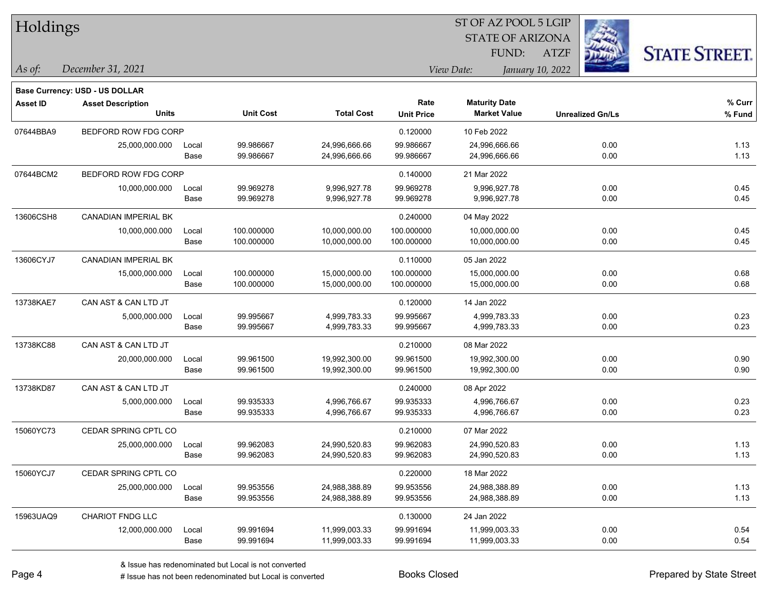| Holdings        |                                          |               |                          |                                |                           | ST OF AZ POOL 5 LGIP                        |                  |                         |                      |
|-----------------|------------------------------------------|---------------|--------------------------|--------------------------------|---------------------------|---------------------------------------------|------------------|-------------------------|----------------------|
|                 |                                          |               |                          |                                |                           | <b>STATE OF ARIZONA</b>                     |                  |                         |                      |
|                 |                                          |               |                          |                                |                           | FUND:                                       | <b>ATZF</b>      |                         | <b>STATE STREET.</b> |
| As of:          | December 31, 2021                        |               |                          |                                |                           | View Date:                                  | January 10, 2022 |                         |                      |
|                 |                                          |               |                          |                                |                           |                                             |                  |                         |                      |
|                 | <b>Base Currency: USD - US DOLLAR</b>    |               |                          |                                |                           |                                             |                  |                         |                      |
| <b>Asset ID</b> | <b>Asset Description</b><br><b>Units</b> |               | <b>Unit Cost</b>         | <b>Total Cost</b>              | Rate<br><b>Unit Price</b> | <b>Maturity Date</b><br><b>Market Value</b> |                  | <b>Unrealized Gn/Ls</b> | % Curr<br>% Fund     |
|                 |                                          |               |                          |                                |                           |                                             |                  |                         |                      |
| 07644BBA9       | BEDFORD ROW FDG CORP                     |               |                          |                                | 0.120000                  | 10 Feb 2022                                 |                  |                         |                      |
|                 | 25,000,000.000                           | Local<br>Base | 99.986667<br>99.986667   | 24,996,666.66<br>24,996,666.66 | 99.986667<br>99.986667    | 24,996,666.66<br>24,996,666.66              |                  | 0.00<br>0.00            | 1.13<br>1.13         |
|                 |                                          |               |                          |                                |                           |                                             |                  |                         |                      |
| 07644BCM2       | BEDFORD ROW FDG CORP                     |               |                          |                                | 0.140000                  | 21 Mar 2022                                 |                  |                         |                      |
|                 | 10,000,000.000                           | Local<br>Base | 99.969278<br>99.969278   | 9,996,927.78<br>9,996,927.78   | 99.969278<br>99.969278    | 9,996,927.78<br>9,996,927.78                |                  | 0.00<br>0.00            | 0.45<br>0.45         |
|                 |                                          |               |                          |                                |                           |                                             |                  |                         |                      |
| 13606CSH8       | <b>CANADIAN IMPERIAL BK</b>              |               |                          |                                | 0.240000                  | 04 May 2022                                 |                  |                         |                      |
|                 | 10,000,000.000                           | Local<br>Base | 100.000000<br>100.000000 | 10,000,000.00<br>10,000,000.00 | 100.000000<br>100.000000  | 10,000,000.00<br>10,000,000.00              |                  | 0.00<br>0.00            | 0.45<br>0.45         |
|                 |                                          |               |                          |                                |                           |                                             |                  |                         |                      |
| 13606CYJ7       | CANADIAN IMPERIAL BK                     |               |                          |                                | 0.110000                  | 05 Jan 2022                                 |                  |                         |                      |
|                 | 15,000,000.000                           | Local         | 100.000000               | 15,000,000.00                  | 100.000000                | 15,000,000.00                               |                  | 0.00                    | 0.68                 |
|                 |                                          | Base          | 100.000000               | 15,000,000.00                  | 100.000000                | 15,000,000.00                               |                  | 0.00                    | 0.68                 |
| 13738KAE7       | CAN AST & CAN LTD JT                     |               |                          |                                | 0.120000                  | 14 Jan 2022                                 |                  |                         |                      |
|                 | 5,000,000.000                            | Local         | 99.995667                | 4,999,783.33                   | 99.995667                 | 4,999,783.33                                |                  | 0.00                    | 0.23                 |
|                 |                                          | Base          | 99.995667                | 4,999,783.33                   | 99.995667                 | 4,999,783.33                                |                  | 0.00                    | 0.23                 |
| 13738KC88       | CAN AST & CAN LTD JT                     |               |                          |                                | 0.210000                  | 08 Mar 2022                                 |                  |                         |                      |
|                 | 20,000,000.000                           | Local         | 99.961500                | 19,992,300.00                  | 99.961500                 | 19,992,300.00                               |                  | 0.00                    | 0.90                 |
|                 |                                          | Base          | 99.961500                | 19,992,300.00                  | 99.961500                 | 19,992,300.00                               |                  | 0.00                    | 0.90                 |
| 13738KD87       | CAN AST & CAN LTD JT                     |               |                          |                                | 0.240000                  | 08 Apr 2022                                 |                  |                         |                      |
|                 | 5,000,000.000                            | Local         | 99.935333                | 4,996,766.67                   | 99.935333                 | 4,996,766.67                                |                  | 0.00                    | 0.23                 |
|                 |                                          | Base          | 99.935333                | 4,996,766.67                   | 99.935333                 | 4,996,766.67                                |                  | 0.00                    | 0.23                 |
| 15060YC73       | CEDAR SPRING CPTL CO                     |               |                          |                                | 0.210000                  | 07 Mar 2022                                 |                  |                         |                      |
|                 | 25,000,000.000                           | Local         | 99.962083                | 24,990,520.83                  | 99.962083                 | 24,990,520.83                               |                  | 0.00                    | 1.13                 |
|                 |                                          | Base          | 99.962083                | 24,990,520.83                  | 99.962083                 | 24,990,520.83                               |                  | 0.00                    | 1.13                 |
| 15060YCJ7       | CEDAR SPRING CPTL CO                     |               |                          |                                | 0.220000                  | 18 Mar 2022                                 |                  |                         |                      |
|                 | 25,000,000.000                           | Local         | 99.953556                | 24,988,388.89                  | 99.953556                 | 24,988,388.89                               |                  | 0.00                    | 1.13                 |
|                 |                                          | Base          | 99.953556                | 24,988,388.89                  | 99.953556                 | 24,988,388.89                               |                  | 0.00                    | 1.13                 |
| 15963UAQ9       | CHARIOT FNDG LLC                         |               |                          |                                | 0.130000                  | 24 Jan 2022                                 |                  |                         |                      |
|                 | 12,000,000.000                           | Local         | 99.991694                | 11,999,003.33                  | 99.991694                 | 11,999,003.33                               |                  | 0.00                    | 0.54                 |
|                 |                                          | Base          | 99.991694                | 11,999,003.33                  | 99.991694                 | 11,999,003.33                               |                  | 0.00                    | 0.54                 |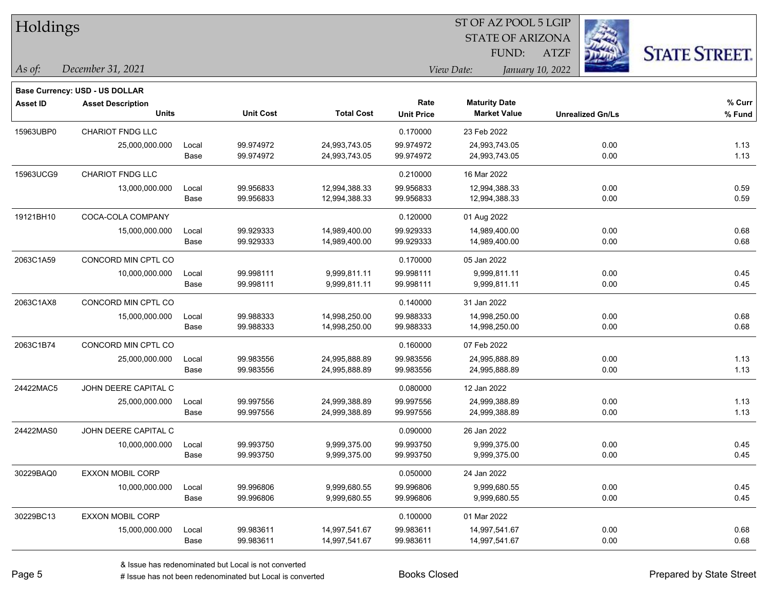| Holdings        |                                       |       |                  |                   |                   |                         |                         |                      |
|-----------------|---------------------------------------|-------|------------------|-------------------|-------------------|-------------------------|-------------------------|----------------------|
|                 |                                       |       |                  |                   |                   | <b>STATE OF ARIZONA</b> |                         |                      |
|                 |                                       |       |                  |                   |                   | FUND:                   | <b>ATZF</b>             | <b>STATE STREET.</b> |
| As of:          | December 31, 2021                     |       |                  |                   |                   | View Date:              | January 10, 2022        |                      |
|                 | <b>Base Currency: USD - US DOLLAR</b> |       |                  |                   |                   |                         |                         |                      |
| <b>Asset ID</b> | <b>Asset Description</b>              |       |                  |                   | Rate              | <b>Maturity Date</b>    |                         | % Curr               |
|                 | <b>Units</b>                          |       | <b>Unit Cost</b> | <b>Total Cost</b> | <b>Unit Price</b> | <b>Market Value</b>     | <b>Unrealized Gn/Ls</b> | % Fund               |
| 15963UBP0       | CHARIOT FNDG LLC                      |       |                  |                   | 0.170000          | 23 Feb 2022             |                         |                      |
|                 | 25,000,000.000                        | Local | 99.974972        | 24,993,743.05     | 99.974972         | 24,993,743.05           | 0.00                    | 1.13                 |
|                 |                                       | Base  | 99.974972        | 24,993,743.05     | 99.974972         | 24,993,743.05           | 0.00                    | 1.13                 |
| 15963UCG9       | CHARIOT FNDG LLC                      |       |                  |                   | 0.210000          | 16 Mar 2022             |                         |                      |
|                 | 13,000,000.000                        | Local | 99.956833        | 12,994,388.33     | 99.956833         | 12,994,388.33           | 0.00                    | 0.59                 |
|                 |                                       | Base  | 99.956833        | 12,994,388.33     | 99.956833         | 12,994,388.33           | 0.00                    | 0.59                 |
| 19121BH10       | COCA-COLA COMPANY                     |       |                  |                   | 0.120000          | 01 Aug 2022             |                         |                      |
|                 | 15,000,000.000                        | Local | 99.929333        | 14,989,400.00     | 99.929333         | 14,989,400.00           | 0.00                    | 0.68                 |
|                 |                                       | Base  | 99.929333        | 14,989,400.00     | 99.929333         | 14,989,400.00           | 0.00                    | 0.68                 |
| 2063C1A59       | CONCORD MIN CPTL CO                   |       |                  |                   | 0.170000          | 05 Jan 2022             |                         |                      |
|                 | 10,000,000.000                        | Local | 99.998111        | 9,999,811.11      | 99.998111         | 9,999,811.11            | 0.00                    | 0.45                 |
|                 |                                       | Base  | 99.998111        | 9,999,811.11      | 99.998111         | 9,999,811.11            | 0.00                    | 0.45                 |
| 2063C1AX8       | CONCORD MIN CPTL CO                   |       |                  |                   | 0.140000          | 31 Jan 2022             |                         |                      |
|                 | 15,000,000.000                        | Local | 99.988333        | 14,998,250.00     | 99.988333         | 14,998,250.00           | 0.00                    | 0.68                 |
|                 |                                       | Base  | 99.988333        | 14,998,250.00     | 99.988333         | 14,998,250.00           | 0.00                    | 0.68                 |
| 2063C1B74       | CONCORD MIN CPTL CO                   |       |                  |                   | 0.160000          | 07 Feb 2022             |                         |                      |
|                 | 25,000,000.000                        | Local | 99.983556        | 24,995,888.89     | 99.983556         | 24,995,888.89           | 0.00                    | 1.13                 |
|                 |                                       | Base  | 99.983556        | 24,995,888.89     | 99.983556         | 24,995,888.89           | 0.00                    | 1.13                 |
| 24422MAC5       | JOHN DEERE CAPITAL C                  |       |                  |                   | 0.080000          | 12 Jan 2022             |                         |                      |
|                 | 25,000,000.000                        | Local | 99.997556        | 24,999,388.89     | 99.997556         | 24,999,388.89           | 0.00                    | 1.13                 |
|                 |                                       | Base  | 99.997556        | 24,999,388.89     | 99.997556         | 24,999,388.89           | 0.00                    | 1.13                 |
| 24422MAS0       | JOHN DEERE CAPITAL C                  |       |                  |                   | 0.090000          | 26 Jan 2022             |                         |                      |
|                 | 10,000,000.000                        | Local | 99.993750        | 9,999,375.00      | 99.993750         | 9,999,375.00            | 0.00                    | 0.45                 |
|                 |                                       | Base  | 99.993750        | 9,999,375.00      | 99.993750         | 9,999,375.00            | 0.00                    | 0.45                 |
| 30229BAQ0       | <b>EXXON MOBIL CORP</b>               |       |                  |                   | 0.050000          | 24 Jan 2022             |                         |                      |
|                 | 10,000,000.000                        | Local | 99.996806        | 9,999,680.55      | 99.996806         | 9,999,680.55            | 0.00                    | 0.45                 |
|                 |                                       | Base  | 99.996806        | 9,999,680.55      | 99.996806         | 9,999,680.55            | 0.00                    | 0.45                 |
| 30229BC13       | <b>EXXON MOBIL CORP</b>               |       |                  |                   | 0.100000          | 01 Mar 2022             |                         |                      |
|                 | 15,000,000.000                        | Local | 99.983611        | 14,997,541.67     | 99.983611         | 14,997,541.67           | 0.00                    | 0.68                 |
|                 |                                       | Base  | 99.983611        | 14,997,541.67     | 99.983611         | 14,997,541.67           | 0.00                    | 0.68                 |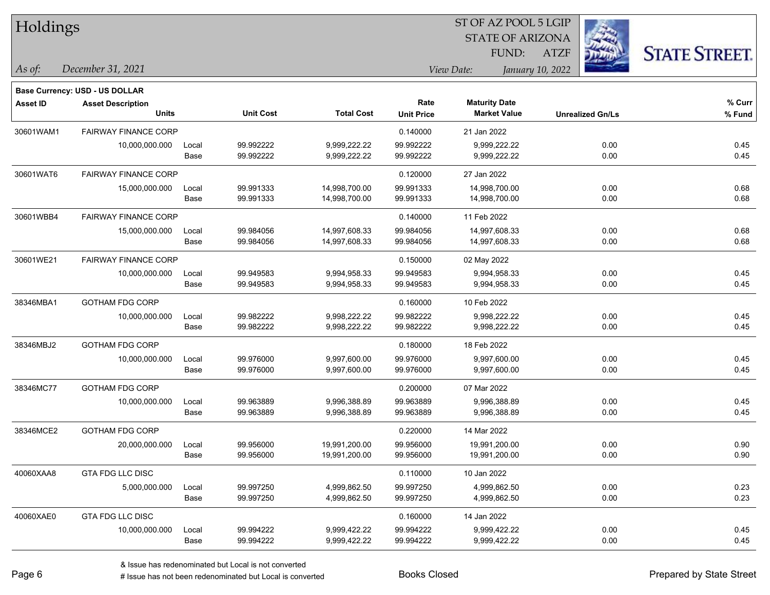| Holdings        |                                          |       |                  |                   |                           | 51 OF AZ POOL 5 LGIP<br><b>STATE OF ARIZONA</b> |                         |                      |
|-----------------|------------------------------------------|-------|------------------|-------------------|---------------------------|-------------------------------------------------|-------------------------|----------------------|
|                 |                                          |       |                  |                   |                           | <b>FUND:</b>                                    | <b>ATZF</b>             | <b>STATE STREET.</b> |
| As of:          | December 31, 2021                        |       |                  |                   |                           | View Date:<br>January 10, 2022                  |                         |                      |
|                 | <b>Base Currency: USD - US DOLLAR</b>    |       |                  |                   |                           |                                                 |                         |                      |
| <b>Asset ID</b> | <b>Asset Description</b><br><b>Units</b> |       | <b>Unit Cost</b> | <b>Total Cost</b> | Rate<br><b>Unit Price</b> | <b>Maturity Date</b><br><b>Market Value</b>     | <b>Unrealized Gn/Ls</b> | % Curr<br>% Fund     |
| 30601WAM1       | <b>FAIRWAY FINANCE CORP</b>              |       |                  |                   | 0.140000                  | 21 Jan 2022                                     |                         |                      |
|                 | 10,000,000.000                           | Local | 99.992222        | 9,999,222.22      | 99.992222                 | 9,999,222.22                                    | 0.00                    | 0.45                 |
|                 |                                          | Base  | 99.992222        | 9,999,222.22      | 99.992222                 | 9,999,222.22                                    | 0.00                    | 0.45                 |
| 30601WAT6       | <b>FAIRWAY FINANCE CORP</b>              |       |                  |                   | 0.120000                  | 27 Jan 2022                                     |                         |                      |
|                 | 15,000,000.000                           | Local | 99.991333        | 14,998,700.00     | 99.991333                 | 14,998,700.00                                   | 0.00                    | 0.68                 |
|                 |                                          | Base  | 99.991333        | 14,998,700.00     | 99.991333                 | 14,998,700.00                                   | 0.00                    | 0.68                 |
| 30601WBB4       | <b>FAIRWAY FINANCE CORP</b>              |       |                  |                   | 0.140000                  | 11 Feb 2022                                     |                         |                      |
|                 | 15,000,000.000                           | Local | 99.984056        | 14,997,608.33     | 99.984056                 | 14,997,608.33                                   | 0.00                    | 0.68                 |
|                 |                                          | Base  | 99.984056        | 14,997,608.33     | 99.984056                 | 14,997,608.33                                   | 0.00                    | 0.68                 |
| 30601WE21       | <b>FAIRWAY FINANCE CORP</b>              |       |                  |                   | 0.150000                  | 02 May 2022                                     |                         |                      |
|                 | 10,000,000.000                           | Local | 99.949583        | 9,994,958.33      | 99.949583                 | 9,994,958.33                                    | 0.00                    | 0.45                 |
|                 |                                          | Base  | 99.949583        | 9,994,958.33      | 99.949583                 | 9,994,958.33                                    | 0.00                    | 0.45                 |
| 38346MBA1       | <b>GOTHAM FDG CORP</b>                   |       |                  |                   | 0.160000                  | 10 Feb 2022                                     |                         |                      |
|                 | 10,000,000.000                           | Local | 99.982222        | 9,998,222.22      | 99.982222                 | 9,998,222.22                                    | 0.00                    | 0.45                 |
|                 |                                          | Base  | 99.982222        | 9,998,222.22      | 99.982222                 | 9,998,222.22                                    | 0.00                    | 0.45                 |
| 38346MBJ2       | <b>GOTHAM FDG CORP</b>                   |       |                  |                   | 0.180000                  | 18 Feb 2022                                     |                         |                      |
|                 | 10,000,000.000                           | Local | 99.976000        | 9,997,600.00      | 99.976000                 | 9,997,600.00                                    | 0.00                    | 0.45                 |
|                 |                                          | Base  | 99.976000        | 9,997,600.00      | 99.976000                 | 9,997,600.00                                    | 0.00                    | 0.45                 |
| 38346MC77       | <b>GOTHAM FDG CORP</b>                   |       |                  |                   | 0.200000                  | 07 Mar 2022                                     |                         |                      |
|                 | 10,000,000.000                           | Local | 99.963889        | 9,996,388.89      | 99.963889                 | 9,996,388.89                                    | 0.00                    | 0.45                 |
|                 |                                          | Base  | 99.963889        | 9,996,388.89      | 99.963889                 | 9,996,388.89                                    | 0.00                    | 0.45                 |
| 38346MCE2       | <b>GOTHAM FDG CORP</b>                   |       |                  |                   | 0.220000                  | 14 Mar 2022                                     |                         |                      |
|                 | 20,000,000.000                           | Local | 99.956000        | 19,991,200.00     | 99.956000                 | 19,991,200.00                                   | 0.00                    | 0.90                 |
|                 |                                          | Base  | 99.956000        | 19,991,200.00     | 99.956000                 | 19,991,200.00                                   | 0.00                    | 0.90                 |
| 40060XAA8       | <b>GTA FDG LLC DISC</b>                  |       |                  |                   | 0.110000                  | 10 Jan 2022                                     |                         |                      |
|                 | 5,000,000.000                            | Local | 99.997250        | 4,999,862.50      | 99.997250                 | 4,999,862.50                                    | 0.00                    | 0.23                 |
|                 |                                          | Base  | 99.997250        | 4,999,862.50      | 99.997250                 | 4,999,862.50                                    | 0.00                    | 0.23                 |
| 40060XAE0       | GTA FDG LLC DISC                         |       |                  |                   | 0.160000                  | 14 Jan 2022                                     |                         |                      |
|                 | 10,000,000.000                           | Local | 99.994222        | 9,999,422.22      | 99.994222                 | 9,999,422.22                                    | 0.00                    | 0.45                 |
|                 |                                          | Base  | 99.994222        | 9,999,422.22      | 99.994222                 | 9,999,422.22                                    | 0.00                    | 0.45                 |

 $\overline{\text{SE ADO}}$   $\overline{\text{SVD}}$ 

٦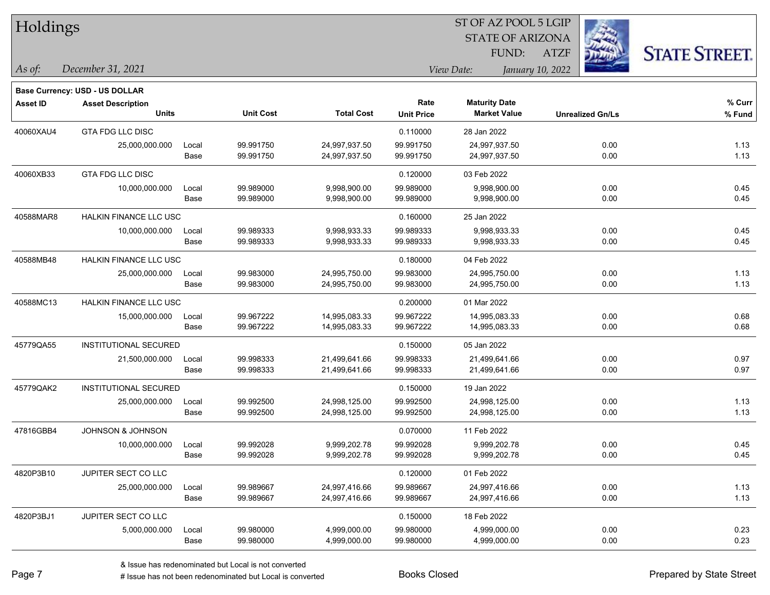| Holdings  |                                          |               |                        |                                |                           | SI OF AZ POOL 5 LGIP<br><b>STATE OF ARIZONA</b> | <b>REGIS</b>                    |                      |
|-----------|------------------------------------------|---------------|------------------------|--------------------------------|---------------------------|-------------------------------------------------|---------------------------------|----------------------|
| As of:    | December 31, 2021                        |               |                        |                                |                           | FUND:<br>View Date:                             | <b>ATZF</b><br>January 10, 2022 | <b>STATE STREET.</b> |
|           | Base Currency: USD - US DOLLAR           |               |                        |                                |                           |                                                 |                                 |                      |
| Asset ID  | <b>Asset Description</b><br><b>Units</b> |               | <b>Unit Cost</b>       | <b>Total Cost</b>              | Rate<br><b>Unit Price</b> | <b>Maturity Date</b><br><b>Market Value</b>     | <b>Unrealized Gn/Ls</b>         | % Curr<br>% Fund     |
|           |                                          |               |                        |                                |                           |                                                 |                                 |                      |
| 40060XAU4 | <b>GTA FDG LLC DISC</b>                  |               |                        |                                | 0.110000                  | 28 Jan 2022                                     |                                 |                      |
|           | 25,000,000.000                           | Local<br>Base | 99.991750<br>99.991750 | 24,997,937.50<br>24,997,937.50 | 99.991750<br>99.991750    | 24,997,937.50<br>24,997,937.50                  | 0.00<br>0.00                    | 1.13<br>1.13         |
| 40060XB33 | <b>GTA FDG LLC DISC</b>                  |               |                        |                                | 0.120000                  | 03 Feb 2022                                     |                                 |                      |
|           | 10,000,000.000                           | Local         | 99.989000              | 9,998,900.00                   | 99.989000                 | 9,998,900.00                                    | 0.00                            | 0.45                 |
|           |                                          | Base          | 99.989000              | 9,998,900.00                   | 99.989000                 | 9,998,900.00                                    | 0.00                            | 0.45                 |
| 40588MAR8 | HALKIN FINANCE LLC USC                   |               |                        |                                | 0.160000                  | 25 Jan 2022                                     |                                 |                      |
|           | 10,000,000.000                           | Local         | 99.989333              | 9,998,933.33                   | 99.989333                 | 9,998,933.33                                    | 0.00                            | 0.45                 |
|           |                                          | Base          | 99.989333              | 9,998,933.33                   | 99.989333                 | 9,998,933.33                                    | 0.00                            | 0.45                 |
| 40588MB48 | <b>HALKIN FINANCE LLC USC</b>            |               |                        |                                | 0.180000                  | 04 Feb 2022                                     |                                 |                      |
|           | 25,000,000.000                           | Local         | 99.983000              | 24,995,750.00                  | 99.983000                 | 24,995,750.00                                   | 0.00                            | 1.13                 |
|           |                                          | Base          | 99.983000              | 24,995,750.00                  | 99.983000                 | 24,995,750.00                                   | 0.00                            | 1.13                 |
| 40588MC13 | HALKIN FINANCE LLC USC                   |               |                        |                                | 0.200000                  | 01 Mar 2022                                     |                                 |                      |
|           | 15,000,000.000                           | Local         | 99.967222              | 14,995,083.33                  | 99.967222                 | 14,995,083.33                                   | 0.00                            | 0.68                 |
|           |                                          | Base          | 99.967222              | 14,995,083.33                  | 99.967222                 | 14,995,083.33                                   | 0.00                            | 0.68                 |
| 45779QA55 | INSTITUTIONAL SECURED                    |               |                        |                                | 0.150000                  | 05 Jan 2022                                     |                                 |                      |
|           | 21,500,000.000                           | Local         | 99.998333              | 21,499,641.66                  | 99.998333                 | 21,499,641.66                                   | 0.00                            | 0.97                 |
|           |                                          | Base          | 99.998333              | 21,499,641.66                  | 99.998333                 | 21,499,641.66                                   | 0.00                            | 0.97                 |
| 45779QAK2 | INSTITUTIONAL SECURED                    |               |                        |                                | 0.150000                  | 19 Jan 2022                                     |                                 |                      |
|           | 25,000,000.000                           | Local         | 99.992500              | 24,998,125.00                  | 99.992500                 | 24,998,125.00                                   | 0.00                            | 1.13                 |
|           |                                          | Base          | 99.992500              | 24,998,125.00                  | 99.992500                 | 24,998,125.00                                   | 0.00                            | 1.13                 |
| 47816GBB4 | JOHNSON & JOHNSON                        |               |                        |                                | 0.070000                  | 11 Feb 2022                                     |                                 |                      |
|           | 10,000,000.000                           | Local         | 99.992028              | 9,999,202.78                   | 99.992028                 | 9,999,202.78                                    | 0.00                            | 0.45                 |
|           |                                          | Base          | 99.992028              | 9,999,202.78                   | 99.992028                 | 9,999,202.78                                    | 0.00                            | 0.45                 |
| 4820P3B10 | JUPITER SECT CO LLC                      |               |                        |                                | 0.120000                  | 01 Feb 2022                                     |                                 |                      |
|           | 25,000,000.000                           | Local         | 99.989667              | 24,997,416.66                  | 99.989667                 | 24,997,416.66                                   | 0.00                            | 1.13                 |
|           |                                          | Base          | 99.989667              | 24,997,416.66                  | 99.989667                 | 24,997,416.66                                   | 0.00                            | 1.13                 |
| 4820P3BJ1 | JUPITER SECT CO LLC                      |               |                        |                                | 0.150000                  | 18 Feb 2022                                     |                                 |                      |
|           | 5,000,000.000                            | Local         | 99.980000              | 4,999,000.00                   | 99.980000                 | 4,999,000.00                                    | 0.00                            | 0.23                 |
|           |                                          | Base          | 99.980000              | 4,999,000.00                   | 99.980000                 | 4,999,000.00                                    | 0.00                            | 0.23                 |

 $\overline{\text{ST A Z DOO}}$   $\overline{\text{SLO}}$ 

٦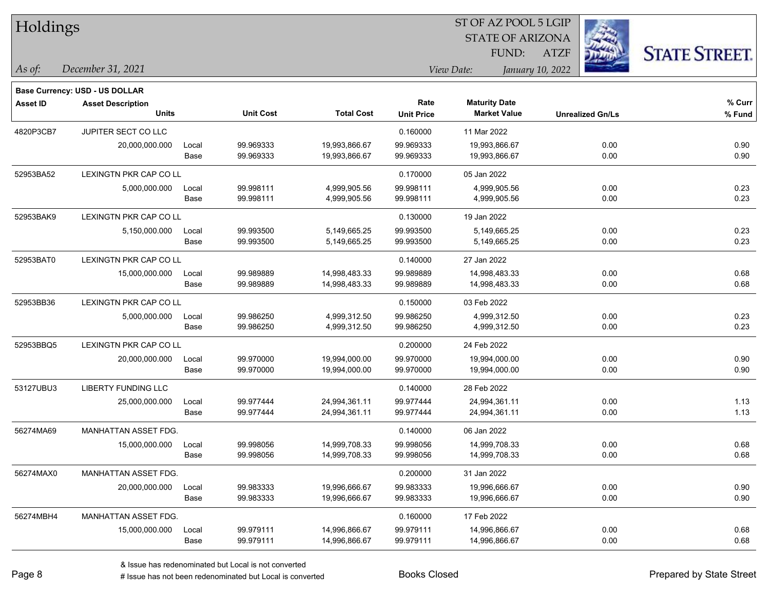| Holdings        |                                |       |                  |                   |                   | ST OF AZ POOL 5 LGIP    |                  |                         |                      |
|-----------------|--------------------------------|-------|------------------|-------------------|-------------------|-------------------------|------------------|-------------------------|----------------------|
|                 |                                |       |                  |                   |                   | <b>STATE OF ARIZONA</b> |                  |                         |                      |
|                 |                                |       |                  |                   |                   | FUND:                   | <b>ATZF</b>      |                         | <b>STATE STREET.</b> |
| As of:          | December 31, 2021              |       |                  |                   |                   | View Date:              | January 10, 2022 |                         |                      |
|                 | Base Currency: USD - US DOLLAR |       |                  |                   |                   |                         |                  |                         |                      |
| <b>Asset ID</b> | <b>Asset Description</b>       |       |                  |                   | Rate              | <b>Maturity Date</b>    |                  |                         | % Curr               |
|                 | <b>Units</b>                   |       | <b>Unit Cost</b> | <b>Total Cost</b> | <b>Unit Price</b> | <b>Market Value</b>     |                  | <b>Unrealized Gn/Ls</b> | % Fund               |
| 4820P3CB7       | JUPITER SECT CO LLC            |       |                  |                   | 0.160000          | 11 Mar 2022             |                  |                         |                      |
|                 | 20,000,000.000                 | Local | 99.969333        | 19,993,866.67     | 99.969333         | 19,993,866.67           |                  | 0.00                    | 0.90                 |
|                 |                                | Base  | 99.969333        | 19,993,866.67     | 99.969333         | 19,993,866.67           |                  | 0.00                    | 0.90                 |
| 52953BA52       | LEXINGTN PKR CAP CO LL         |       |                  |                   | 0.170000          | 05 Jan 2022             |                  |                         |                      |
|                 | 5,000,000.000                  | Local | 99.998111        | 4,999,905.56      | 99.998111         | 4,999,905.56            |                  | 0.00                    | 0.23                 |
|                 |                                | Base  | 99.998111        | 4,999,905.56      | 99.998111         | 4,999,905.56            |                  | 0.00                    | 0.23                 |
| 52953BAK9       | <b>LEXINGTN PKR CAP CO LL</b>  |       |                  |                   | 0.130000          | 19 Jan 2022             |                  |                         |                      |
|                 | 5,150,000.000                  | Local | 99.993500        | 5,149,665.25      | 99.993500         | 5,149,665.25            |                  | 0.00                    | 0.23                 |
|                 |                                | Base  | 99.993500        | 5,149,665.25      | 99.993500         | 5,149,665.25            |                  | 0.00                    | 0.23                 |
| 52953BAT0       | LEXINGTN PKR CAP CO LL         |       |                  |                   | 0.140000          | 27 Jan 2022             |                  |                         |                      |
|                 | 15,000,000.000                 | Local | 99.989889        | 14,998,483.33     | 99.989889         | 14,998,483.33           |                  | 0.00                    | 0.68                 |
|                 |                                | Base  | 99.989889        | 14,998,483.33     | 99.989889         | 14,998,483.33           |                  | 0.00                    | 0.68                 |
| 52953BB36       | LEXINGTN PKR CAP CO LL         |       |                  |                   | 0.150000          | 03 Feb 2022             |                  |                         |                      |
|                 | 5,000,000.000                  | Local | 99.986250        | 4,999,312.50      | 99.986250         | 4,999,312.50            |                  | 0.00                    | 0.23                 |
|                 |                                | Base  | 99.986250        | 4,999,312.50      | 99.986250         | 4,999,312.50            |                  | 0.00                    | 0.23                 |
| 52953BBQ5       | LEXINGTN PKR CAP CO LL         |       |                  |                   | 0.200000          | 24 Feb 2022             |                  |                         |                      |
|                 | 20,000,000.000                 | Local | 99.970000        | 19,994,000.00     | 99.970000         | 19,994,000.00           |                  | 0.00                    | 0.90                 |
|                 |                                | Base  | 99.970000        | 19,994,000.00     | 99.970000         | 19,994,000.00           |                  | 0.00                    | 0.90                 |
| 53127UBU3       | LIBERTY FUNDING LLC            |       |                  |                   | 0.140000          | 28 Feb 2022             |                  |                         |                      |
|                 | 25,000,000.000                 | Local | 99.977444        | 24,994,361.11     | 99.977444         | 24,994,361.11           |                  | 0.00                    | 1.13                 |
|                 |                                | Base  | 99.977444        | 24,994,361.11     | 99.977444         | 24,994,361.11           |                  | 0.00                    | 1.13                 |
| 56274MA69       | <b>MANHATTAN ASSET FDG.</b>    |       |                  |                   | 0.140000          | 06 Jan 2022             |                  |                         |                      |
|                 | 15,000,000.000                 | Local | 99.998056        | 14,999,708.33     | 99.998056         | 14,999,708.33           |                  | 0.00                    | 0.68                 |
|                 |                                | Base  | 99.998056        | 14,999,708.33     | 99.998056         | 14,999,708.33           |                  | 0.00                    | 0.68                 |
| 56274MAX0       | MANHATTAN ASSET FDG.           |       |                  |                   | 0.200000          | 31 Jan 2022             |                  |                         |                      |
|                 | 20,000,000.000                 | Local | 99.983333        | 19,996,666.67     | 99.983333         | 19,996,666.67           |                  | 0.00                    | 0.90                 |
|                 |                                | Base  | 99.983333        | 19,996,666.67     | 99.983333         | 19,996,666.67           |                  | 0.00                    | 0.90                 |
| 56274MBH4       | MANHATTAN ASSET FDG.           |       |                  |                   | 0.160000          | 17 Feb 2022             |                  |                         |                      |
|                 | 15,000,000.000                 | Local | 99.979111        | 14,996,866.67     | 99.979111         | 14,996,866.67           |                  | 0.00                    | 0.68                 |
|                 |                                | Base  | 99.979111        | 14,996,866.67     | 99.979111         | 14,996,866.67           |                  | 0.00                    | 0.68                 |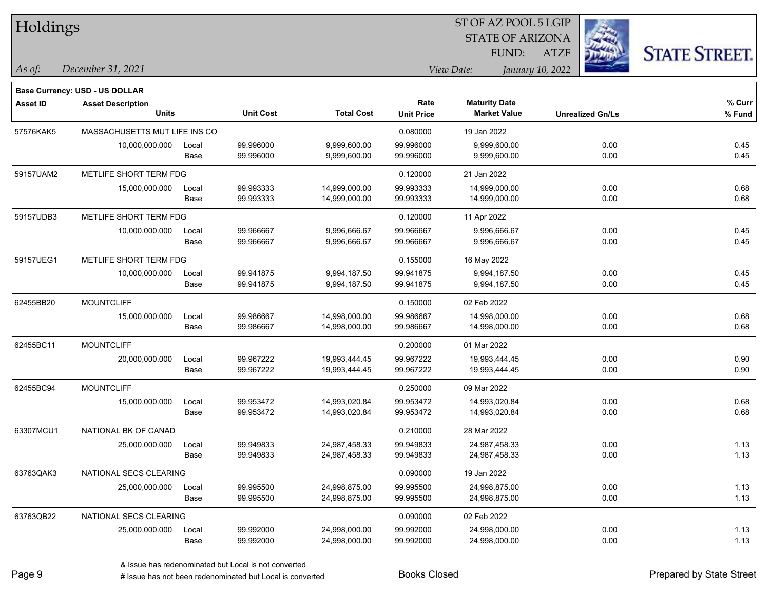| Holdings        |                                          |               |                        |                                |                           | <b>STATE OF ARIZONA</b><br>FUND:            | <b>ATZF</b>      |                         | <b>STATE STREET.</b> |
|-----------------|------------------------------------------|---------------|------------------------|--------------------------------|---------------------------|---------------------------------------------|------------------|-------------------------|----------------------|
| As of:          | December 31, 2021                        |               |                        |                                |                           | View Date:                                  | January 10, 2022 |                         |                      |
|                 | <b>Base Currency: USD - US DOLLAR</b>    |               |                        |                                |                           |                                             |                  |                         |                      |
| <b>Asset ID</b> | <b>Asset Description</b><br><b>Units</b> |               | <b>Unit Cost</b>       | <b>Total Cost</b>              | Rate<br><b>Unit Price</b> | <b>Maturity Date</b><br><b>Market Value</b> |                  | <b>Unrealized Gn/Ls</b> | % Curr<br>% Fund     |
| 57576KAK5       | MASSACHUSETTS MUT LIFE INS CO            |               |                        |                                | 0.080000                  | 19 Jan 2022                                 |                  |                         |                      |
|                 | 10,000,000.000                           | Local<br>Base | 99.996000<br>99.996000 | 9,999,600.00<br>9,999,600.00   | 99.996000<br>99.996000    | 9,999,600.00<br>9,999,600.00                |                  | 0.00<br>0.00            | 0.45<br>0.45         |
| 59157UAM2       | METLIFE SHORT TERM FDG                   |               |                        |                                | 0.120000                  | 21 Jan 2022                                 |                  |                         |                      |
|                 | 15,000,000.000                           | Local<br>Base | 99.993333<br>99.993333 | 14,999,000.00<br>14,999,000.00 | 99.993333<br>99.993333    | 14,999,000.00<br>14,999,000.00              |                  | 0.00<br>0.00            | 0.68<br>0.68         |
| 59157UDB3       | METLIFE SHORT TERM FDG                   |               |                        |                                | 0.120000                  | 11 Apr 2022                                 |                  |                         |                      |
|                 | 10,000,000.000                           | Local<br>Base | 99.966667<br>99.966667 | 9,996,666.67<br>9,996,666.67   | 99.966667<br>99.966667    | 9,996,666.67<br>9,996,666.67                |                  | 0.00<br>0.00            | 0.45<br>0.45         |
| 59157UEG1       | METLIFE SHORT TERM FDG                   |               |                        |                                | 0.155000                  | 16 May 2022                                 |                  |                         |                      |
|                 | 10,000,000.000                           | Local<br>Base | 99.941875<br>99.941875 | 9,994,187.50<br>9,994,187.50   | 99.941875<br>99.941875    | 9,994,187.50<br>9,994,187.50                |                  | 0.00<br>0.00            | 0.45<br>0.45         |
| 62455BB20       | <b>MOUNTCLIFF</b>                        |               |                        |                                | 0.150000                  | 02 Feb 2022                                 |                  |                         |                      |
|                 | 15,000,000.000                           | Local<br>Base | 99.986667<br>99.986667 | 14,998,000.00<br>14,998,000.00 | 99.986667<br>99.986667    | 14,998,000.00<br>14,998,000.00              |                  | 0.00<br>0.00            | 0.68<br>0.68         |
| 62455BC11       | <b>MOUNTCLIFF</b>                        |               |                        |                                | 0.200000                  | 01 Mar 2022                                 |                  |                         |                      |
|                 | 20,000,000.000                           | Local<br>Base | 99.967222<br>99.967222 | 19,993,444.45<br>19,993,444.45 | 99.967222<br>99.967222    | 19,993,444.45<br>19,993,444.45              |                  | 0.00<br>0.00            | 0.90<br>0.90         |
| 62455BC94       | <b>MOUNTCLIFF</b>                        |               |                        |                                | 0.250000                  | 09 Mar 2022                                 |                  |                         |                      |
|                 | 15,000,000.000                           | Local<br>Base | 99.953472<br>99.953472 | 14,993,020.84<br>14,993,020.84 | 99.953472<br>99.953472    | 14,993,020.84<br>14,993,020.84              |                  | 0.00<br>0.00            | 0.68<br>0.68         |
| 63307MCU1       | NATIONAL BK OF CANAD                     |               |                        |                                | 0.210000                  | 28 Mar 2022                                 |                  |                         |                      |
|                 | 25,000,000.000                           | Local<br>Base | 99.949833<br>99.949833 | 24,987,458.33<br>24,987,458.33 | 99.949833<br>99.949833    | 24,987,458.33<br>24,987,458.33              |                  | 0.00<br>0.00            | 1.13<br>1.13         |
| 63763QAK3       | NATIONAL SECS CLEARING                   |               |                        |                                | 0.090000                  | 19 Jan 2022                                 |                  |                         |                      |
|                 | 25,000,000.000                           | Local<br>Base | 99.995500<br>99.995500 | 24,998,875.00<br>24,998,875.00 | 99.995500<br>99.995500    | 24,998,875.00<br>24,998,875.00              |                  | 0.00<br>0.00            | 1.13<br>1.13         |
| 63763QB22       | NATIONAL SECS CLEARING                   |               |                        |                                | 0.090000                  | 02 Feb 2022                                 |                  |                         |                      |
|                 | 25,000,000.000                           | Local<br>Base | 99.992000<br>99.992000 | 24,998,000.00<br>24,998,000.00 | 99.992000<br>99.992000    | 24,998,000.00<br>24,998,000.00              |                  | 0.00<br>0.00            | 1.13<br>1.13         |

ST OF AZ POOL 5 LGIP

 $\mathbf{H}$   $\mathbf{H}$  . 1.1: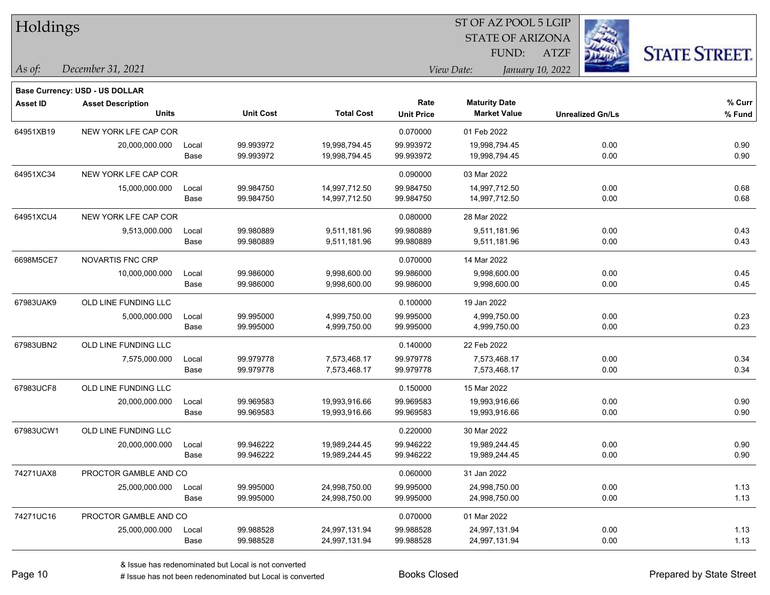| Holdings        |                                |       |                  |                   |                   |                         |                         |                      |
|-----------------|--------------------------------|-------|------------------|-------------------|-------------------|-------------------------|-------------------------|----------------------|
|                 |                                |       |                  |                   |                   | <b>STATE OF ARIZONA</b> |                         |                      |
|                 |                                |       |                  |                   |                   | FUND:                   | <b>ATZF</b>             | <b>STATE STREET.</b> |
| As of:          | December 31, 2021              |       |                  |                   |                   | View Date:              | January 10, 2022        |                      |
|                 | Base Currency: USD - US DOLLAR |       |                  |                   |                   |                         |                         |                      |
| <b>Asset ID</b> | <b>Asset Description</b>       |       |                  |                   | Rate              | <b>Maturity Date</b>    |                         | % Curr               |
|                 | <b>Units</b>                   |       | <b>Unit Cost</b> | <b>Total Cost</b> | <b>Unit Price</b> | <b>Market Value</b>     | <b>Unrealized Gn/Ls</b> | % Fund               |
| 64951XB19       | NEW YORK LFE CAP COR           |       |                  |                   | 0.070000          | 01 Feb 2022             |                         |                      |
|                 | 20,000,000.000                 | Local | 99.993972        | 19,998,794.45     | 99.993972         | 19,998,794.45           | 0.00                    | 0.90                 |
|                 |                                | Base  | 99.993972        | 19,998,794.45     | 99.993972         | 19,998,794.45           | 0.00                    | 0.90                 |
| 64951XC34       | NEW YORK LFE CAP COR           |       |                  |                   | 0.090000          | 03 Mar 2022             |                         |                      |
|                 | 15,000,000.000                 | Local | 99.984750        | 14,997,712.50     | 99.984750         | 14,997,712.50           | 0.00                    | 0.68                 |
|                 |                                | Base  | 99.984750        | 14,997,712.50     | 99.984750         | 14,997,712.50           | 0.00                    | 0.68                 |
| 64951XCU4       | NEW YORK LFE CAP COR           |       |                  |                   | 0.080000          | 28 Mar 2022             |                         |                      |
|                 | 9,513,000.000                  | Local | 99.980889        | 9,511,181.96      | 99.980889         | 9,511,181.96            | 0.00                    | 0.43                 |
|                 |                                | Base  | 99.980889        | 9,511,181.96      | 99.980889         | 9,511,181.96            | 0.00                    | 0.43                 |
| 6698M5CE7       | NOVARTIS FNC CRP               |       |                  |                   | 0.070000          | 14 Mar 2022             |                         |                      |
|                 | 10,000,000.000                 | Local | 99.986000        | 9,998,600.00      | 99.986000         | 9,998,600.00            | 0.00                    | 0.45                 |
|                 |                                | Base  | 99.986000        | 9,998,600.00      | 99.986000         | 9,998,600.00            | 0.00                    | 0.45                 |
| 67983UAK9       | OLD LINE FUNDING LLC           |       |                  |                   | 0.100000          | 19 Jan 2022             |                         |                      |
|                 | 5,000,000.000                  | Local | 99.995000        | 4,999,750.00      | 99.995000         | 4,999,750.00            | 0.00                    | 0.23                 |
|                 |                                | Base  | 99.995000        | 4,999,750.00      | 99.995000         | 4,999,750.00            | 0.00                    | 0.23                 |
| 67983UBN2       | OLD LINE FUNDING LLC           |       |                  |                   | 0.140000          | 22 Feb 2022             |                         |                      |
|                 | 7,575,000.000                  | Local | 99.979778        | 7,573,468.17      | 99.979778         | 7,573,468.17            | 0.00                    | 0.34                 |
|                 |                                | Base  | 99.979778        | 7,573,468.17      | 99.979778         | 7,573,468.17            | 0.00                    | 0.34                 |
| 67983UCF8       | OLD LINE FUNDING LLC           |       |                  |                   | 0.150000          | 15 Mar 2022             |                         |                      |
|                 | 20,000,000.000                 | Local | 99.969583        | 19,993,916.66     | 99.969583         | 19,993,916.66           | 0.00                    | 0.90                 |
|                 |                                | Base  | 99.969583        | 19,993,916.66     | 99.969583         | 19,993,916.66           | 0.00                    | 0.90                 |
| 67983UCW1       | OLD LINE FUNDING LLC           |       |                  |                   | 0.220000          | 30 Mar 2022             |                         |                      |
|                 | 20,000,000.000                 | Local | 99.946222        | 19,989,244.45     | 99.946222         | 19,989,244.45           | 0.00                    | 0.90                 |
|                 |                                | Base  | 99.946222        | 19,989,244.45     | 99.946222         | 19,989,244.45           | 0.00                    | 0.90                 |
| 74271UAX8       | PROCTOR GAMBLE AND CO          |       |                  |                   | 0.060000          | 31 Jan 2022             |                         |                      |
|                 | 25,000,000.000                 | Local | 99.995000        | 24,998,750.00     | 99.995000         | 24,998,750.00           | 0.00                    | 1.13                 |
|                 |                                | Base  | 99.995000        | 24,998,750.00     | 99.995000         | 24,998,750.00           | 0.00                    | 1.13                 |
| 74271UC16       | PROCTOR GAMBLE AND CO          |       |                  |                   | 0.070000          | 01 Mar 2022             |                         |                      |
|                 | 25,000,000.000                 | Local | 99.988528        | 24,997,131.94     | 99.988528         | 24,997,131.94           | 0.00                    | 1.13                 |
|                 |                                | Base  | 99.988528        | 24,997,131.94     | 99.988528         | 24,997,131.94           | 0.00                    | 1.13                 |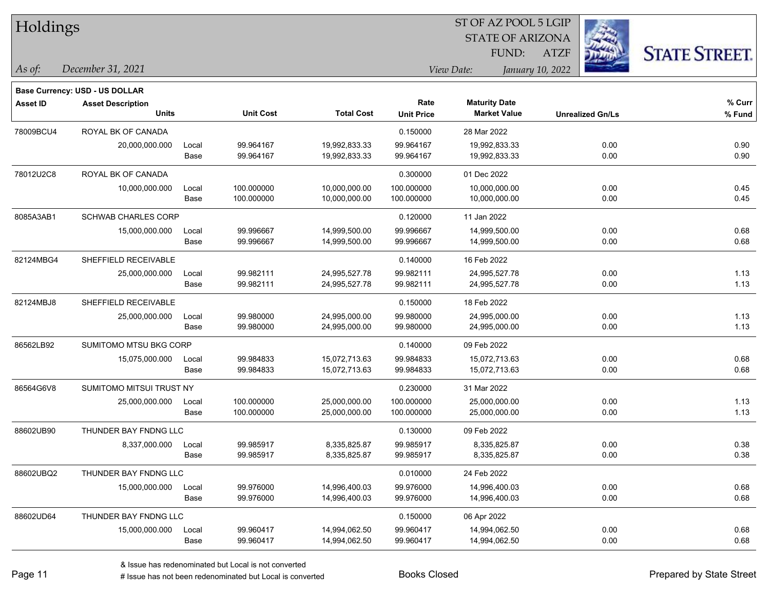| Holdings        |                                       |       |                  |                   |                   |                      | ST OF AZ POOL 5 LGIP    |                         |                      |
|-----------------|---------------------------------------|-------|------------------|-------------------|-------------------|----------------------|-------------------------|-------------------------|----------------------|
|                 |                                       |       |                  |                   |                   |                      | <b>STATE OF ARIZONA</b> |                         |                      |
|                 |                                       |       |                  |                   |                   | FUND:                | <b>ATZF</b>             |                         | <b>STATE STREET.</b> |
| As of:          | December 31, 2021                     |       |                  |                   |                   | View Date:           | January 10, 2022        |                         |                      |
|                 | <b>Base Currency: USD - US DOLLAR</b> |       |                  |                   |                   |                      |                         |                         |                      |
| <b>Asset ID</b> | <b>Asset Description</b>              |       |                  |                   | Rate              | <b>Maturity Date</b> |                         |                         | % Curr               |
|                 | <b>Units</b>                          |       | <b>Unit Cost</b> | <b>Total Cost</b> | <b>Unit Price</b> | <b>Market Value</b>  |                         | <b>Unrealized Gn/Ls</b> | % Fund               |
| 78009BCU4       | ROYAL BK OF CANADA                    |       |                  |                   | 0.150000          | 28 Mar 2022          |                         |                         |                      |
|                 | 20,000,000.000                        | Local | 99.964167        | 19,992,833.33     | 99.964167         | 19,992,833.33        |                         | 0.00                    | 0.90                 |
|                 |                                       | Base  | 99.964167        | 19,992,833.33     | 99.964167         | 19,992,833.33        |                         | 0.00                    | 0.90                 |
| 78012U2C8       | ROYAL BK OF CANADA                    |       |                  |                   | 0.300000          | 01 Dec 2022          |                         |                         |                      |
|                 | 10,000,000.000                        | Local | 100.000000       | 10,000,000.00     | 100.000000        | 10,000,000.00        |                         | 0.00                    | 0.45                 |
|                 |                                       | Base  | 100.000000       | 10,000,000.00     | 100.000000        | 10,000,000.00        |                         | 0.00                    | 0.45                 |
| 8085A3AB1       | <b>SCHWAB CHARLES CORP</b>            |       |                  |                   | 0.120000          | 11 Jan 2022          |                         |                         |                      |
|                 | 15,000,000.000                        | Local | 99.996667        | 14,999,500.00     | 99.996667         | 14,999,500.00        |                         | 0.00                    | 0.68                 |
|                 |                                       | Base  | 99.996667        | 14,999,500.00     | 99.996667         | 14,999,500.00        |                         | 0.00                    | 0.68                 |
| 82124MBG4       | SHEFFIELD RECEIVABLE                  |       |                  |                   | 0.140000          | 16 Feb 2022          |                         |                         |                      |
|                 | 25,000,000.000                        | Local | 99.982111        | 24,995,527.78     | 99.982111         | 24,995,527.78        |                         | 0.00                    | 1.13                 |
|                 |                                       | Base  | 99.982111        | 24,995,527.78     | 99.982111         | 24,995,527.78        |                         | 0.00                    | 1.13                 |
| 82124MBJ8       | SHEFFIELD RECEIVABLE                  |       |                  |                   | 0.150000          | 18 Feb 2022          |                         |                         |                      |
|                 | 25,000,000.000                        | Local | 99.980000        | 24,995,000.00     | 99.980000         | 24,995,000.00        |                         | 0.00                    | 1.13                 |
|                 |                                       | Base  | 99.980000        | 24,995,000.00     | 99.980000         | 24,995,000.00        |                         | 0.00                    | 1.13                 |
| 86562LB92       | SUMITOMO MTSU BKG CORP                |       |                  |                   | 0.140000          | 09 Feb 2022          |                         |                         |                      |
|                 | 15,075,000.000                        | Local | 99.984833        | 15,072,713.63     | 99.984833         | 15,072,713.63        |                         | 0.00                    | 0.68                 |
|                 |                                       | Base  | 99.984833        | 15,072,713.63     | 99.984833         | 15,072,713.63        |                         | 0.00                    | 0.68                 |
| 86564G6V8       | SUMITOMO MITSUI TRUST NY              |       |                  |                   | 0.230000          | 31 Mar 2022          |                         |                         |                      |
|                 | 25,000,000.000                        | Local | 100.000000       | 25,000,000.00     | 100.000000        | 25,000,000.00        |                         | 0.00                    | 1.13                 |
|                 |                                       | Base  | 100.000000       | 25,000,000.00     | 100.000000        | 25,000,000.00        |                         | 0.00                    | 1.13                 |
| 88602UB90       | THUNDER BAY FNDNG LLC                 |       |                  |                   | 0.130000          | 09 Feb 2022          |                         |                         |                      |
|                 | 8,337,000.000                         | Local | 99.985917        | 8,335,825.87      | 99.985917         | 8,335,825.87         |                         | 0.00                    | 0.38                 |
|                 |                                       | Base  | 99.985917        | 8,335,825.87      | 99.985917         | 8,335,825.87         |                         | 0.00                    | 0.38                 |
| 88602UBQ2       | THUNDER BAY FNDNG LLC                 |       |                  |                   | 0.010000          | 24 Feb 2022          |                         |                         |                      |
|                 | 15,000,000.000                        | Local | 99.976000        | 14,996,400.03     | 99.976000         | 14,996,400.03        |                         | 0.00                    | 0.68                 |
|                 |                                       | Base  | 99.976000        | 14,996,400.03     | 99.976000         | 14,996,400.03        |                         | 0.00                    | 0.68                 |
| 88602UD64       | THUNDER BAY FNDNG LLC                 |       |                  |                   | 0.150000          | 06 Apr 2022          |                         |                         |                      |
|                 | 15,000,000.000                        | Local | 99.960417        | 14,994,062.50     | 99.960417         | 14,994,062.50        |                         | 0.00                    | 0.68                 |
|                 |                                       | Base  | 99.960417        | 14,994,062.50     | 99.960417         | 14,994,062.50        |                         | 0.00                    | 0.68                 |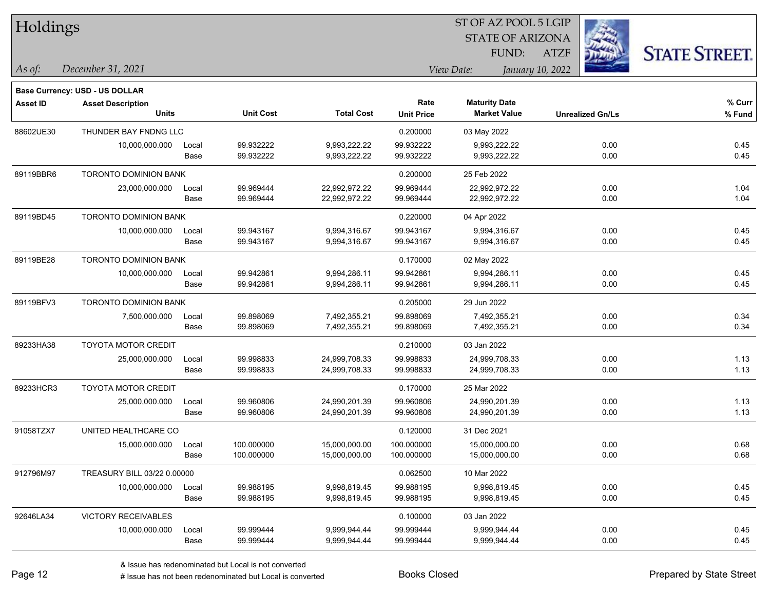| Holdings  |                                       |       |                  |                   | 51 OF AZ POOL 5 LGIP |                         |                  |                         |                     |  |
|-----------|---------------------------------------|-------|------------------|-------------------|----------------------|-------------------------|------------------|-------------------------|---------------------|--|
|           |                                       |       |                  |                   |                      | <b>STATE OF ARIZONA</b> |                  |                         |                     |  |
|           |                                       |       |                  |                   |                      | FUND:                   | <b>ATZF</b>      |                         | <b>STATE STREET</b> |  |
| As of:    | December 31, 2021                     |       |                  |                   |                      | View Date:              | January 10, 2022 |                         |                     |  |
|           | <b>Base Currency: USD - US DOLLAR</b> |       |                  |                   |                      |                         |                  |                         |                     |  |
| Asset ID  | <b>Asset Description</b>              |       |                  |                   | Rate                 | <b>Maturity Date</b>    |                  |                         | % Curr              |  |
|           | <b>Units</b>                          |       | <b>Unit Cost</b> | <b>Total Cost</b> | <b>Unit Price</b>    | <b>Market Value</b>     |                  | <b>Unrealized Gn/Ls</b> | % Fund              |  |
| 88602UE30 | THUNDER BAY FNDNG LLC                 |       |                  |                   | 0.200000             | 03 May 2022             |                  |                         |                     |  |
|           | 10,000,000.000                        | Local | 99.932222        | 9,993,222.22      | 99.932222            | 9,993,222.22            |                  | 0.00                    | 0.45                |  |
|           |                                       | Base  | 99.932222        | 9,993,222.22      | 99.932222            | 9,993,222.22            |                  | 0.00                    | 0.45                |  |
| 89119BBR6 | <b>TORONTO DOMINION BANK</b>          |       |                  |                   | 0.200000             | 25 Feb 2022             |                  |                         |                     |  |
|           | 23,000,000.000                        | Local | 99.969444        | 22,992,972.22     | 99.969444            | 22,992,972.22           |                  | 0.00                    | 1.04                |  |
|           |                                       | Base  | 99.969444        | 22,992,972.22     | 99.969444            | 22,992,972.22           |                  | 0.00                    | 1.04                |  |
| 89119BD45 | TORONTO DOMINION BANK                 |       |                  |                   | 0.220000             | 04 Apr 2022             |                  |                         |                     |  |
|           | 10,000,000.000                        | Local | 99.943167        | 9,994,316.67      | 99.943167            | 9,994,316.67            |                  | 0.00                    | 0.45                |  |
|           |                                       | Base  | 99.943167        | 9,994,316.67      | 99.943167            | 9,994,316.67            |                  | 0.00                    | 0.45                |  |
| 89119BE28 | <b>TORONTO DOMINION BANK</b>          |       |                  |                   | 0.170000             | 02 May 2022             |                  |                         |                     |  |
|           | 10,000,000.000                        | Local | 99.942861        | 9,994,286.11      | 99.942861            | 9,994,286.11            |                  | 0.00                    | 0.45                |  |
|           |                                       | Base  | 99.942861        | 9,994,286.11      | 99.942861            | 9,994,286.11            |                  | 0.00                    | 0.45                |  |
| 89119BFV3 | <b>TORONTO DOMINION BANK</b>          |       |                  |                   | 0.205000             | 29 Jun 2022             |                  |                         |                     |  |
|           | 7,500,000.000                         | Local | 99.898069        | 7,492,355.21      | 99.898069            | 7,492,355.21            |                  | 0.00                    | 0.34                |  |
|           |                                       | Base  | 99.898069        | 7,492,355.21      | 99.898069            | 7,492,355.21            |                  | 0.00                    | 0.34                |  |
| 89233HA38 | <b>TOYOTA MOTOR CREDIT</b>            |       |                  |                   | 0.210000             | 03 Jan 2022             |                  |                         |                     |  |
|           | 25,000,000.000                        | Local | 99.998833        | 24,999,708.33     | 99.998833            | 24,999,708.33           |                  | 0.00                    | 1.13                |  |
|           |                                       | Base  | 99.998833        | 24,999,708.33     | 99.998833            | 24,999,708.33           |                  | 0.00                    | 1.13                |  |
| 89233HCR3 | <b>TOYOTA MOTOR CREDIT</b>            |       |                  |                   | 0.170000             | 25 Mar 2022             |                  |                         |                     |  |
|           | 25,000,000.000                        | Local | 99.960806        | 24,990,201.39     | 99.960806            | 24,990,201.39           |                  | 0.00                    | 1.13                |  |
|           |                                       | Base  | 99.960806        | 24,990,201.39     | 99.960806            | 24,990,201.39           |                  | 0.00                    | 1.13                |  |
| 91058TZX7 | UNITED HEALTHCARE CO                  |       |                  |                   | 0.120000             | 31 Dec 2021             |                  |                         |                     |  |
|           | 15,000,000.000                        | Local | 100.000000       | 15,000,000.00     | 100.000000           | 15,000,000.00           |                  | 0.00                    | 0.68                |  |
|           |                                       | Base  | 100.000000       | 15,000,000.00     | 100.000000           | 15,000,000.00           |                  | 0.00                    | 0.68                |  |
| 912796M97 | TREASURY BILL 03/22 0.00000           |       |                  |                   | 0.062500             | 10 Mar 2022             |                  |                         |                     |  |
|           | 10,000,000.000                        | Local | 99.988195        | 9,998,819.45      | 99.988195            | 9,998,819.45            |                  | 0.00                    | 0.45                |  |
|           |                                       | Base  | 99.988195        | 9,998,819.45      | 99.988195            | 9,998,819.45            |                  | 0.00                    | 0.45                |  |
| 92646LA34 | <b>VICTORY RECEIVABLES</b>            |       |                  |                   | 0.100000             | 03 Jan 2022             |                  |                         |                     |  |
|           | 10,000,000.000                        | Local | 99.999444        | 9,999,944.44      | 99.999444            | 9,999,944.44            |                  | 0.00                    | 0.45                |  |
|           |                                       | Base  | 99.999444        | 9,999,944.44      | 99.999444            | 9,999,944.44            |                  | 0.00                    | 0.45                |  |

 $\overline{S}$  OF  $\overline{S}$  Pool 5 LGIP

٦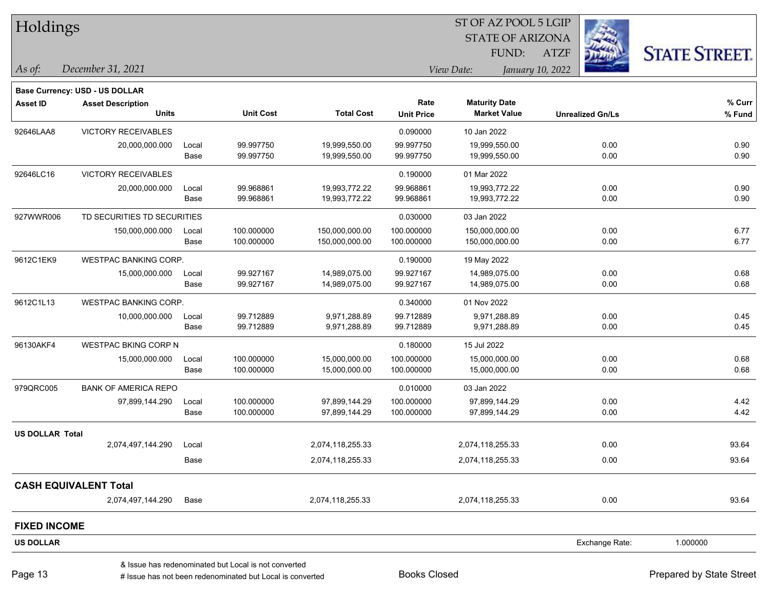| Holdings               |                                       |       |                                                      |                   |                   | ST OF AZ POOL 5 LGIP    |                  |                         |                      |
|------------------------|---------------------------------------|-------|------------------------------------------------------|-------------------|-------------------|-------------------------|------------------|-------------------------|----------------------|
|                        |                                       |       |                                                      |                   |                   | <b>STATE OF ARIZONA</b> |                  |                         |                      |
|                        |                                       |       |                                                      |                   |                   | FUND:                   | <b>ATZF</b>      |                         | <b>STATE STREET.</b> |
| As of:                 | December 31, 2021                     |       |                                                      |                   |                   | View Date:              | January 10, 2022 |                         |                      |
|                        | <b>Base Currency: USD - US DOLLAR</b> |       |                                                      |                   |                   |                         |                  |                         |                      |
| <b>Asset ID</b>        | <b>Asset Description</b>              |       |                                                      |                   | Rate              | <b>Maturity Date</b>    |                  |                         | % Curr               |
|                        | <b>Units</b>                          |       | <b>Unit Cost</b>                                     | <b>Total Cost</b> | <b>Unit Price</b> | <b>Market Value</b>     |                  | <b>Unrealized Gn/Ls</b> | % Fund               |
| 92646LAA8              | <b>VICTORY RECEIVABLES</b>            |       |                                                      |                   | 0.090000          | 10 Jan 2022             |                  |                         |                      |
|                        | 20,000,000.000                        | Local | 99.997750                                            | 19,999,550.00     | 99.997750         | 19,999,550.00           |                  | 0.00                    | 0.90                 |
|                        |                                       | Base  | 99.997750                                            | 19,999,550.00     | 99.997750         | 19,999,550.00           |                  | 0.00                    | 0.90                 |
| 92646LC16              | <b>VICTORY RECEIVABLES</b>            |       |                                                      |                   | 0.190000          | 01 Mar 2022             |                  |                         |                      |
|                        | 20,000,000.000                        | Local | 99.968861                                            | 19,993,772.22     | 99.968861         | 19,993,772.22           |                  | 0.00                    | 0.90                 |
|                        |                                       | Base  | 99.968861                                            | 19,993,772.22     | 99.968861         | 19,993,772.22           |                  | 0.00                    | 0.90                 |
| 927WWR006              | TD SECURITIES TD SECURITIES           |       |                                                      |                   | 0.030000          | 03 Jan 2022             |                  |                         |                      |
|                        | 150,000,000.000                       | Local | 100.000000                                           | 150,000,000.00    | 100.000000        | 150,000,000.00          |                  | 0.00                    | 6.77                 |
|                        |                                       | Base  | 100.000000                                           | 150,000,000.00    | 100.000000        | 150,000,000.00          |                  | 0.00                    | 6.77                 |
| 9612C1EK9              | WESTPAC BANKING CORP.                 |       |                                                      |                   | 0.190000          | 19 May 2022             |                  |                         |                      |
|                        | 15,000,000.000                        | Local | 99.927167                                            | 14,989,075.00     | 99.927167         | 14,989,075.00           |                  | 0.00                    | 0.68                 |
|                        |                                       | Base  | 99.927167                                            | 14,989,075.00     | 99.927167         | 14,989,075.00           |                  | 0.00                    | 0.68                 |
| 9612C1L13              | <b>WESTPAC BANKING CORP.</b>          |       |                                                      |                   | 0.340000          | 01 Nov 2022             |                  |                         |                      |
|                        | 10,000,000.000                        | Local | 99.712889                                            | 9,971,288.89      | 99.712889         | 9,971,288.89            |                  | 0.00                    | 0.45                 |
|                        |                                       | Base  | 99.712889                                            | 9,971,288.89      | 99.712889         | 9,971,288.89            |                  | 0.00                    | 0.45                 |
| 96130AKF4              | <b>WESTPAC BKING CORP N</b>           |       |                                                      |                   | 0.180000          | 15 Jul 2022             |                  |                         |                      |
|                        | 15,000,000.000                        | Local | 100.000000                                           | 15,000,000.00     | 100.000000        | 15,000,000.00           |                  | 0.00                    | 0.68                 |
|                        |                                       | Base  | 100.000000                                           | 15,000,000.00     | 100.000000        | 15,000,000.00           |                  | 0.00                    | 0.68                 |
| 979QRC005              | <b>BANK OF AMERICA REPO</b>           |       |                                                      |                   | 0.010000          | 03 Jan 2022             |                  |                         |                      |
|                        | 97,899,144.290                        | Local | 100.000000                                           | 97,899,144.29     | 100.000000        | 97,899,144.29           |                  | 0.00                    | 4.42                 |
|                        |                                       | Base  | 100.000000                                           | 97,899,144.29     | 100.000000        | 97,899,144.29           |                  | 0.00                    | 4.42                 |
| <b>US DOLLAR Total</b> |                                       |       |                                                      |                   |                   |                         |                  |                         |                      |
|                        | 2,074,497,144.290                     | Local |                                                      | 2,074,118,255.33  |                   | 2,074,118,255.33        |                  | 0.00                    | 93.64                |
|                        |                                       | Base  |                                                      | 2,074,118,255.33  |                   | 2,074,118,255.33        |                  | 0.00                    | 93.64                |
|                        | <b>CASH EQUIVALENT Total</b>          |       |                                                      |                   |                   |                         |                  |                         |                      |
|                        | 2,074,497,144.290                     | Base  |                                                      | 2,074,118,255.33  |                   | 2,074,118,255.33        |                  | 0.00                    | 93.64                |
| <b>FIXED INCOME</b>    |                                       |       |                                                      |                   |                   |                         |                  |                         |                      |
| <b>US DOLLAR</b>       |                                       |       |                                                      |                   |                   |                         |                  | Exchange Rate:          | 1.000000             |
|                        |                                       |       | & Issue has redenominated but Local is not converted |                   |                   |                         |                  |                         |                      |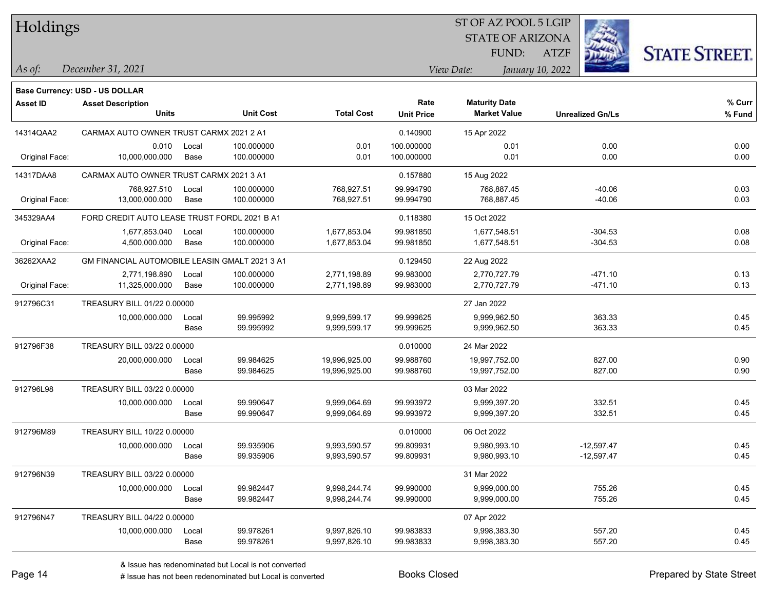## Holdings

## STATE OF ARIZONA ST OF AZ POOL 5 LGIP

ATZF



**Base Currency: USD - US DOLLAR**

*December 31, 2021 As of: View Date: January 10, 2022* FUND:

| <b>Asset ID</b> | <b>Asset Description</b><br><b>Units</b>       |       | <b>Unit Cost</b> | <b>Total Cost</b> | Rate<br><b>Unit Price</b> | <b>Maturity Date</b><br><b>Market Value</b> | <b>Unrealized Gn/Ls</b> | % Curr<br>% Fund |
|-----------------|------------------------------------------------|-------|------------------|-------------------|---------------------------|---------------------------------------------|-------------------------|------------------|
| 14314QAA2       | CARMAX AUTO OWNER TRUST CARMX 2021 2 A1        |       |                  |                   | 0.140900                  | 15 Apr 2022                                 |                         |                  |
|                 | 0.010                                          | Local | 100.000000       | 0.01              | 100.000000                | 0.01                                        | 0.00                    | 0.00             |
| Original Face:  | 10,000,000.000                                 | Base  | 100.000000       | 0.01              | 100.000000                | 0.01                                        | 0.00                    | 0.00             |
| 14317DAA8       | CARMAX AUTO OWNER TRUST CARMX 2021 3 A1        |       |                  |                   | 0.157880                  | 15 Aug 2022                                 |                         |                  |
|                 | 768,927.510                                    | Local | 100.000000       | 768,927.51        | 99.994790                 | 768,887.45                                  | $-40.06$                | 0.03             |
| Original Face:  | 13,000,000.000                                 | Base  | 100.000000       | 768,927.51        | 99.994790                 | 768,887.45                                  | $-40.06$                | 0.03             |
| 345329AA4       | FORD CREDIT AUTO LEASE TRUST FORDL 2021 B A1   |       |                  |                   | 0.118380                  | 15 Oct 2022                                 |                         |                  |
|                 | 1,677,853.040                                  | Local | 100.000000       | 1,677,853.04      | 99.981850                 | 1,677,548.51                                | $-304.53$               | 0.08             |
| Original Face:  | 4,500,000.000                                  | Base  | 100.000000       | 1,677,853.04      | 99.981850                 | 1,677,548.51                                | $-304.53$               | 0.08             |
| 36262XAA2       | GM FINANCIAL AUTOMOBILE LEASIN GMALT 2021 3 A1 |       |                  |                   | 0.129450                  | 22 Aug 2022                                 |                         |                  |
|                 | 2,771,198.890                                  | Local | 100.000000       | 2,771,198.89      | 99.983000                 | 2,770,727.79                                | $-471.10$               | 0.13             |
| Original Face:  | 11,325,000.000                                 | Base  | 100.000000       | 2,771,198.89      | 99.983000                 | 2,770,727.79                                | $-471.10$               | 0.13             |
| 912796C31       | TREASURY BILL 01/22 0.00000                    |       |                  |                   |                           | 27 Jan 2022                                 |                         |                  |
|                 | 10,000,000.000                                 | Local | 99.995992        | 9,999,599.17      | 99.999625                 | 9,999,962.50                                | 363.33                  | 0.45             |
|                 |                                                | Base  | 99.995992        | 9,999,599.17      | 99.999625                 | 9,999,962.50                                | 363.33                  | 0.45             |
| 912796F38       | TREASURY BILL 03/22 0.00000                    |       |                  |                   | 0.010000                  | 24 Mar 2022                                 |                         |                  |
|                 | 20,000,000.000                                 | Local | 99.984625        | 19,996,925.00     | 99.988760                 | 19,997,752.00                               | 827.00                  | 0.90             |
|                 |                                                | Base  | 99.984625        | 19,996,925.00     | 99.988760                 | 19,997,752.00                               | 827.00                  | 0.90             |
| 912796L98       | TREASURY BILL 03/22 0.00000                    |       |                  |                   |                           | 03 Mar 2022                                 |                         |                  |
|                 | 10,000,000.000                                 | Local | 99.990647        | 9,999,064.69      | 99.993972                 | 9,999,397.20                                | 332.51                  | 0.45             |
|                 |                                                | Base  | 99.990647        | 9,999,064.69      | 99.993972                 | 9,999,397.20                                | 332.51                  | 0.45             |
| 912796M89       | TREASURY BILL 10/22 0.00000                    |       |                  |                   | 0.010000                  | 06 Oct 2022                                 |                         |                  |
|                 | 10,000,000.000                                 | Local | 99.935906        | 9,993,590.57      | 99.809931                 | 9,980,993.10                                | $-12,597.47$            | 0.45             |
|                 |                                                | Base  | 99.935906        | 9,993,590.57      | 99.809931                 | 9,980,993.10                                | $-12,597.47$            | 0.45             |
| 912796N39       | TREASURY BILL 03/22 0.00000                    |       |                  |                   |                           | 31 Mar 2022                                 |                         |                  |
|                 | 10,000,000.000                                 | Local | 99.982447        | 9,998,244.74      | 99.990000                 | 9,999,000.00                                | 755.26                  | 0.45             |
|                 |                                                | Base  | 99.982447        | 9,998,244.74      | 99.990000                 | 9,999,000.00                                | 755.26                  | 0.45             |
| 912796N47       | TREASURY BILL 04/22 0.00000                    |       |                  |                   |                           | 07 Apr 2022                                 |                         |                  |
|                 | 10,000,000.000                                 | Local | 99.978261        | 9,997,826.10      | 99.983833                 | 9,998,383.30                                | 557.20                  | 0.45             |
|                 |                                                | Base  | 99.978261        | 9,997,826.10      | 99.983833                 | 9,998,383.30                                | 557.20                  | 0.45             |

# Issue has not been redenominated but Local is converted Books Closed Prepared by State Street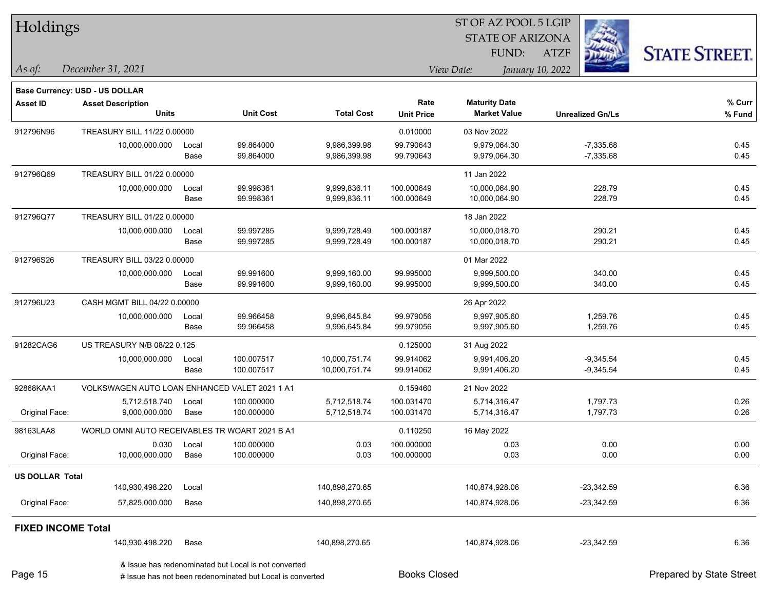| Holdings                  |                                                |       |                                                                                                                   |                   |                     | ST OF AZ POOL 5 LGIP    |                         |                          |
|---------------------------|------------------------------------------------|-------|-------------------------------------------------------------------------------------------------------------------|-------------------|---------------------|-------------------------|-------------------------|--------------------------|
|                           |                                                |       |                                                                                                                   |                   |                     | <b>STATE OF ARIZONA</b> |                         |                          |
|                           |                                                |       |                                                                                                                   |                   |                     | FUND:                   | <b>ATZF</b>             | <b>STATE STREET.</b>     |
| $\vert$ As of:            | December 31, 2021                              |       |                                                                                                                   |                   |                     | View Date:              | January 10, 2022        |                          |
|                           | <b>Base Currency: USD - US DOLLAR</b>          |       |                                                                                                                   |                   |                     |                         |                         |                          |
| <b>Asset ID</b>           | <b>Asset Description</b>                       |       |                                                                                                                   |                   | Rate                | <b>Maturity Date</b>    |                         | % Curr                   |
|                           | <b>Units</b>                                   |       | <b>Unit Cost</b>                                                                                                  | <b>Total Cost</b> | <b>Unit Price</b>   | <b>Market Value</b>     | <b>Unrealized Gn/Ls</b> | % Fund                   |
| 912796N96                 | TREASURY BILL 11/22 0.00000                    |       |                                                                                                                   |                   | 0.010000            | 03 Nov 2022             |                         |                          |
|                           | 10,000,000.000                                 | Local | 99.864000                                                                                                         | 9,986,399.98      | 99.790643           | 9,979,064.30            | $-7,335.68$             | 0.45                     |
|                           |                                                | Base  | 99.864000                                                                                                         | 9,986,399.98      | 99.790643           | 9,979,064.30            | $-7,335.68$             | 0.45                     |
| 912796Q69                 | TREASURY BILL 01/22 0.00000                    |       |                                                                                                                   |                   |                     | 11 Jan 2022             |                         |                          |
|                           | 10,000,000.000                                 | Local | 99.998361                                                                                                         | 9,999,836.11      | 100.000649          | 10,000,064.90           | 228.79                  | 0.45                     |
|                           |                                                | Base  | 99.998361                                                                                                         | 9,999,836.11      | 100.000649          | 10,000,064.90           | 228.79                  | 0.45                     |
| 912796Q77                 | TREASURY BILL 01/22 0.00000                    |       |                                                                                                                   |                   |                     | 18 Jan 2022             |                         |                          |
|                           | 10,000,000.000                                 | Local | 99.997285                                                                                                         | 9,999,728.49      | 100.000187          | 10,000,018.70           | 290.21                  | 0.45                     |
|                           |                                                | Base  | 99.997285                                                                                                         | 9,999,728.49      | 100.000187          | 10,000,018.70           | 290.21                  | 0.45                     |
| 912796S26                 | TREASURY BILL 03/22 0.00000                    |       |                                                                                                                   |                   |                     | 01 Mar 2022             |                         |                          |
|                           | 10,000,000.000                                 | Local | 99.991600                                                                                                         | 9,999,160.00      | 99.995000           | 9,999,500.00            | 340.00                  | 0.45                     |
|                           |                                                | Base  | 99.991600                                                                                                         | 9,999,160.00      | 99.995000           | 9,999,500.00            | 340.00                  | 0.45                     |
| 912796U23                 | CASH MGMT BILL 04/22 0.00000                   |       |                                                                                                                   |                   |                     | 26 Apr 2022             |                         |                          |
|                           | 10,000,000.000                                 | Local | 99.966458                                                                                                         | 9,996,645.84      | 99.979056           | 9,997,905.60            | 1,259.76                | 0.45                     |
|                           |                                                | Base  | 99.966458                                                                                                         | 9,996,645.84      | 99.979056           | 9,997,905.60            | 1,259.76                | 0.45                     |
| 91282CAG6                 | US TREASURY N/B 08/22 0.125                    |       |                                                                                                                   |                   | 0.125000            | 31 Aug 2022             |                         |                          |
|                           | 10,000,000.000                                 | Local | 100.007517                                                                                                        | 10,000,751.74     | 99.914062           | 9,991,406.20            | $-9,345.54$             | 0.45                     |
|                           |                                                | Base  | 100.007517                                                                                                        | 10,000,751.74     | 99.914062           | 9,991,406.20            | $-9,345.54$             | 0.45                     |
| 92868KAA1                 | VOLKSWAGEN AUTO LOAN ENHANCED VALET 2021 1 A1  |       |                                                                                                                   |                   | 0.159460            | 21 Nov 2022             |                         |                          |
|                           | 5,712,518.740                                  | Local | 100.000000                                                                                                        | 5,712,518.74      | 100.031470          | 5,714,316.47            | 1,797.73                | 0.26                     |
| Original Face:            | 9,000,000.000                                  | Base  | 100.000000                                                                                                        | 5,712,518.74      | 100.031470          | 5,714,316.47            | 1,797.73                | 0.26                     |
| 98163LAA8                 | WORLD OMNI AUTO RECEIVABLES TR WOART 2021 B A1 |       |                                                                                                                   |                   | 0.110250            | 16 May 2022             |                         |                          |
|                           | 0.030                                          | Local | 100.000000                                                                                                        | 0.03              | 100.000000          | 0.03                    | 0.00                    | 0.00                     |
| Original Face:            | 10,000,000.000                                 | Base  | 100.000000                                                                                                        | 0.03              | 100.000000          | 0.03                    | 0.00                    | 0.00                     |
| <b>US DOLLAR Total</b>    |                                                |       |                                                                                                                   |                   |                     |                         |                         |                          |
|                           | 140,930,498.220                                | Local |                                                                                                                   | 140,898,270.65    |                     | 140,874,928.06          | $-23,342.59$            | 6.36                     |
| Original Face:            | 57,825,000.000                                 | Base  |                                                                                                                   | 140,898,270.65    |                     | 140,874,928.06          | $-23,342.59$            | 6.36                     |
| <b>FIXED INCOME Total</b> |                                                |       |                                                                                                                   |                   |                     |                         |                         |                          |
|                           | 140,930,498.220                                | Base  |                                                                                                                   | 140,898,270.65    |                     | 140,874,928.06          | $-23,342.59$            | 6.36                     |
| Page 15                   |                                                |       | & Issue has redenominated but Local is not converted<br># Issue has not been redenominated but Local is converted |                   | <b>Books Closed</b> |                         |                         | Prepared by State Street |

Page 15

г

┑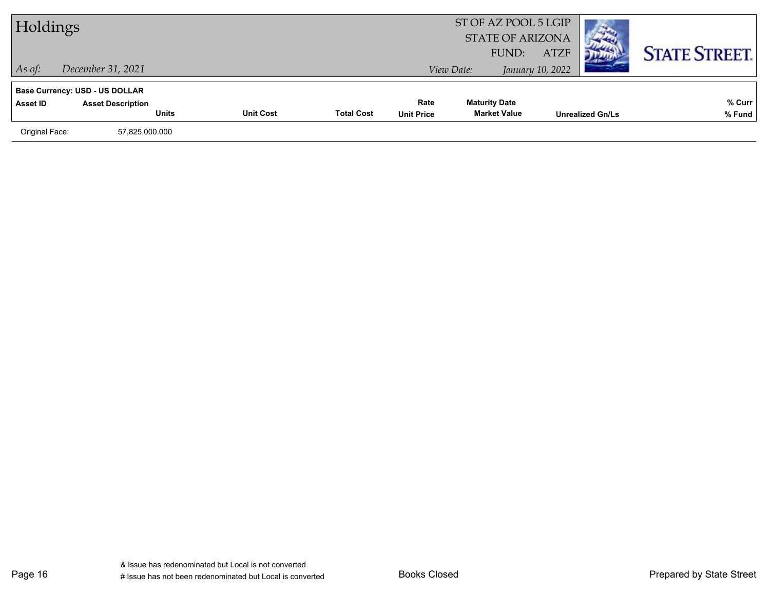| Holdings       |                                          |                  |                   | ST OF AZ POOL 5 LGIP<br><b>STATE OF ARIZONA</b><br>FUND: | <b>ATZF</b>                                 |                  | <b>STATE STREET.</b>    |                  |
|----------------|------------------------------------------|------------------|-------------------|----------------------------------------------------------|---------------------------------------------|------------------|-------------------------|------------------|
| $\vert$ As of: | December 31, 2021                        |                  |                   |                                                          | View Date:                                  | January 10, 2022 |                         |                  |
|                | <b>Base Currency: USD - US DOLLAR</b>    |                  |                   |                                                          |                                             |                  |                         |                  |
| Asset ID       | <b>Asset Description</b><br><b>Units</b> | <b>Unit Cost</b> | <b>Total Cost</b> | Rate<br><b>Unit Price</b>                                | <b>Maturity Date</b><br><b>Market Value</b> |                  | <b>Unrealized Gn/Ls</b> | % Curr<br>% Fund |
| Original Face: | 57,825,000.000                           |                  |                   |                                                          |                                             |                  |                         |                  |
|                |                                          |                  |                   |                                                          |                                             |                  |                         |                  |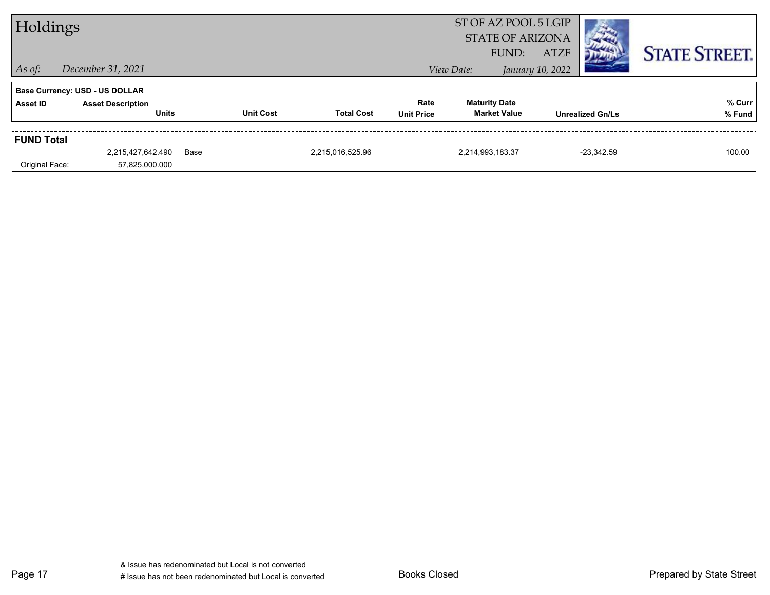| Holdings          |                                          |      |                  |                   |                           |                                             | ST OF AZ POOL 5 LGIP<br><b>STATE OF ARIZONA</b> |                         |                      |
|-------------------|------------------------------------------|------|------------------|-------------------|---------------------------|---------------------------------------------|-------------------------------------------------|-------------------------|----------------------|
| $\vert$ As of:    | December 31, 2021                        |      |                  |                   |                           | View Date:                                  | <b>ATZF</b><br>FUND:<br>January 10, 2022        |                         | <b>STATE STREET.</b> |
|                   | <b>Base Currency: USD - US DOLLAR</b>    |      |                  |                   |                           |                                             |                                                 |                         |                      |
| Asset ID          | <b>Asset Description</b><br><b>Units</b> |      | <b>Unit Cost</b> | <b>Total Cost</b> | Rate<br><b>Unit Price</b> | <b>Maturity Date</b><br><b>Market Value</b> |                                                 | <b>Unrealized Gn/Ls</b> | % Curr<br>% Fund     |
| <b>FUND Total</b> |                                          |      |                  |                   |                           |                                             |                                                 |                         |                      |
|                   | 2,215,427,642.490                        | Base |                  | 2,215,016,525.96  |                           | 2,214,993,183.37                            |                                                 | $-23.342.59$            | 100.00               |
| Original Face:    | 57,825,000.000                           |      |                  |                   |                           |                                             |                                                 |                         |                      |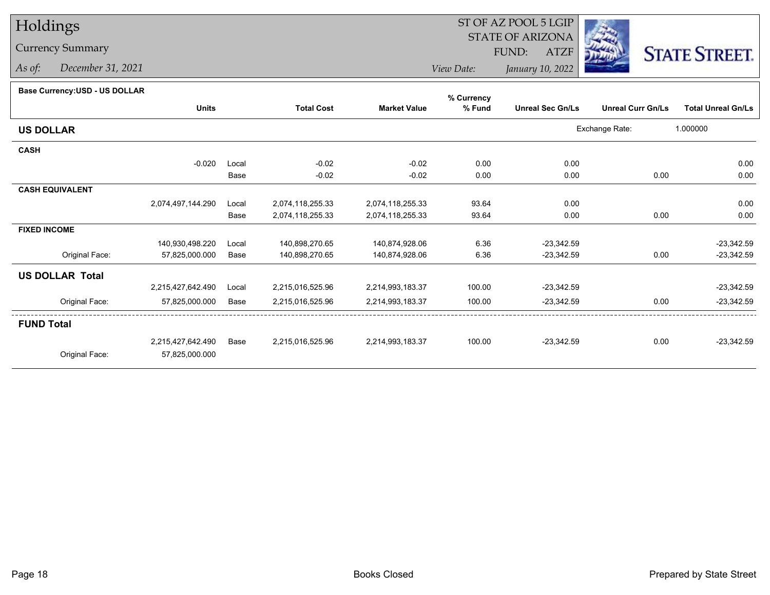# Holdings

### Currency Summary

*As of: December 31, 2021*

#### ST OF AZ POOL 5 LGIP STATE OF ARIZONAATZF FUND:



*View Date:January 10, 2022*

#### **Base Currency:USD - US DOLLAR**

|                        |                   |       |                   |                     | % Currency |                         |                          |                           |
|------------------------|-------------------|-------|-------------------|---------------------|------------|-------------------------|--------------------------|---------------------------|
|                        | <b>Units</b>      |       | <b>Total Cost</b> | <b>Market Value</b> | % Fund     | <b>Unreal Sec Gn/Ls</b> | <b>Unreal Curr Gn/Ls</b> | <b>Total Unreal Gn/Ls</b> |
| <b>US DOLLAR</b>       |                   |       |                   |                     |            |                         | Exchange Rate:           | 1.000000                  |
| <b>CASH</b>            |                   |       |                   |                     |            |                         |                          |                           |
|                        | $-0.020$          | Local | $-0.02$           | $-0.02$             | 0.00       | 0.00                    |                          | 0.00                      |
|                        |                   | Base  | $-0.02$           | $-0.02$             | 0.00       | 0.00                    | 0.00                     | 0.00                      |
| <b>CASH EQUIVALENT</b> |                   |       |                   |                     |            |                         |                          |                           |
|                        | 2,074,497,144.290 | Local | 2,074,118,255.33  | 2,074,118,255.33    | 93.64      | 0.00                    |                          | 0.00                      |
|                        |                   | Base  | 2,074,118,255.33  | 2,074,118,255.33    | 93.64      | 0.00                    | 0.00                     | 0.00                      |
| <b>FIXED INCOME</b>    |                   |       |                   |                     |            |                         |                          |                           |
|                        | 140,930,498.220   | Local | 140,898,270.65    | 140,874,928.06      | 6.36       | $-23,342.59$            |                          | $-23,342.59$              |
| Original Face:         | 57,825,000.000    | Base  | 140,898,270.65    | 140,874,928.06      | 6.36       | $-23,342.59$            | 0.00                     | $-23,342.59$              |
| <b>US DOLLAR Total</b> |                   |       |                   |                     |            |                         |                          |                           |
|                        | 2,215,427,642.490 | Local | 2,215,016,525.96  | 2,214,993,183.37    | 100.00     | $-23,342.59$            |                          | $-23,342.59$              |
| Original Face:         | 57,825,000.000    | Base  | 2,215,016,525.96  | 2,214,993,183.37    | 100.00     | $-23,342.59$            | 0.00                     | $-23,342.59$              |
| <b>FUND Total</b>      |                   |       |                   |                     |            |                         |                          |                           |
|                        | 2,215,427,642.490 | Base  | 2,215,016,525.96  | 2,214,993,183.37    | 100.00     | $-23,342.59$            | 0.00                     | $-23,342.59$              |
| Original Face:         | 57,825,000.000    |       |                   |                     |            |                         |                          |                           |
|                        |                   |       |                   |                     |            |                         |                          |                           |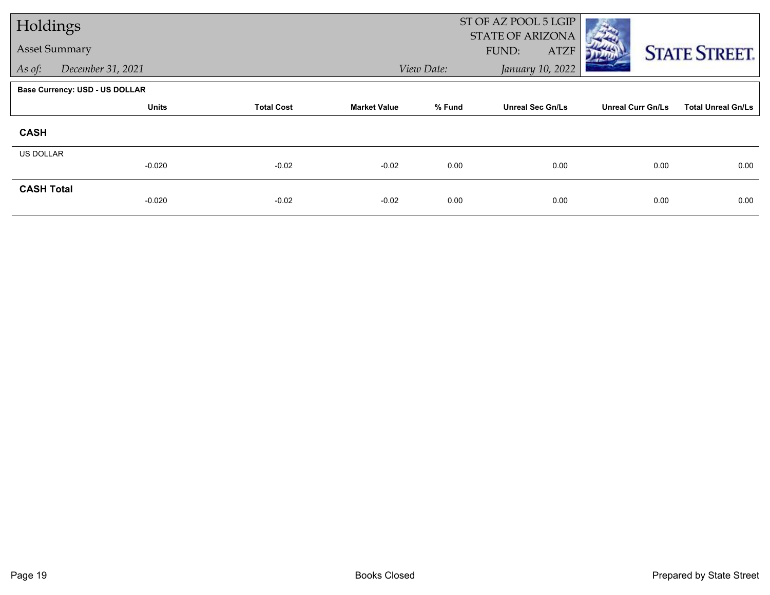| Holdings             |                                       |                   |                     | ST OF AZ POOL 5 LGIP<br>STATE OF ARIZONA |                         |                          |                           |  |  |
|----------------------|---------------------------------------|-------------------|---------------------|------------------------------------------|-------------------------|--------------------------|---------------------------|--|--|
| <b>Asset Summary</b> |                                       |                   |                     |                                          | FUND:<br><b>ATZF</b>    |                          | <b>STATE STREET.</b>      |  |  |
| As of:               | December 31, 2021                     |                   |                     | View Date:                               | January 10, 2022        |                          |                           |  |  |
|                      | <b>Base Currency: USD - US DOLLAR</b> |                   |                     |                                          |                         |                          |                           |  |  |
|                      | <b>Units</b>                          | <b>Total Cost</b> | <b>Market Value</b> | % Fund                                   | <b>Unreal Sec Gn/Ls</b> | <b>Unreal Curr Gn/Ls</b> | <b>Total Unreal Gn/Ls</b> |  |  |
| <b>CASH</b>          |                                       |                   |                     |                                          |                         |                          |                           |  |  |
| <b>US DOLLAR</b>     | $-0.020$                              | $-0.02$           | $-0.02$             | 0.00                                     | 0.00                    | 0.00                     | 0.00                      |  |  |
| <b>CASH Total</b>    | $-0.020$                              | $-0.02$           | $-0.02$             | 0.00                                     | 0.00                    | 0.00                     | 0.00                      |  |  |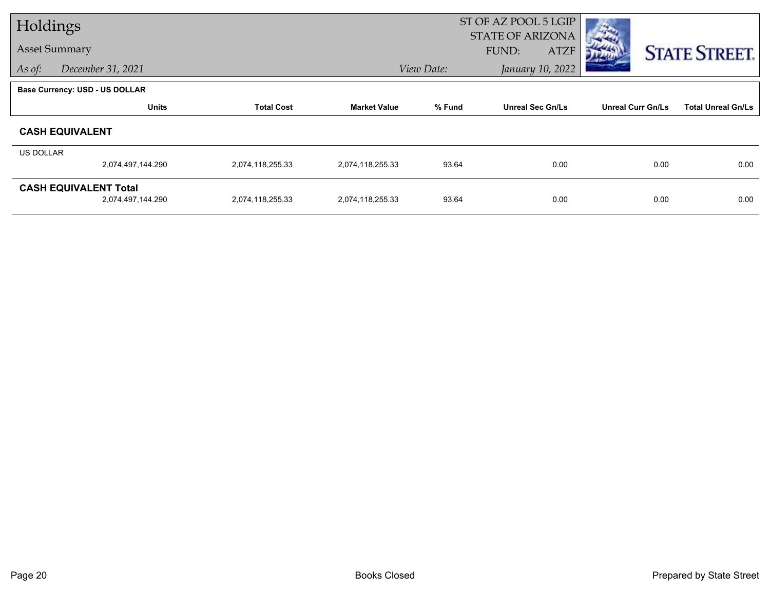| Holdings         |                                                   |                   |                     | ST OF AZ POOL 5 LGIP |                                                 |                          |                           |
|------------------|---------------------------------------------------|-------------------|---------------------|----------------------|-------------------------------------------------|--------------------------|---------------------------|
|                  | <b>Asset Summary</b>                              |                   |                     |                      | <b>STATE OF ARIZONA</b><br>FUND:<br><b>ATZF</b> |                          | <b>STATE STREET.</b>      |
| As of:           | December 31, 2021                                 |                   |                     | View Date:           | January 10, 2022                                |                          |                           |
|                  | <b>Base Currency: USD - US DOLLAR</b>             |                   |                     |                      |                                                 |                          |                           |
|                  | <b>Units</b>                                      | <b>Total Cost</b> | <b>Market Value</b> | % Fund               | <b>Unreal Sec Gn/Ls</b>                         | <b>Unreal Curr Gn/Ls</b> | <b>Total Unreal Gn/Ls</b> |
|                  | <b>CASH EQUIVALENT</b>                            |                   |                     |                      |                                                 |                          |                           |
| <b>US DOLLAR</b> |                                                   |                   |                     |                      |                                                 |                          |                           |
|                  | 2,074,497,144.290                                 | 2,074,118,255.33  | 2,074,118,255.33    | 93.64                | 0.00                                            | 0.00                     | 0.00                      |
|                  | <b>CASH EQUIVALENT Total</b><br>2,074,497,144.290 | 2,074,118,255.33  | 2,074,118,255.33    | 93.64                | 0.00                                            | 0.00                     | 0.00                      |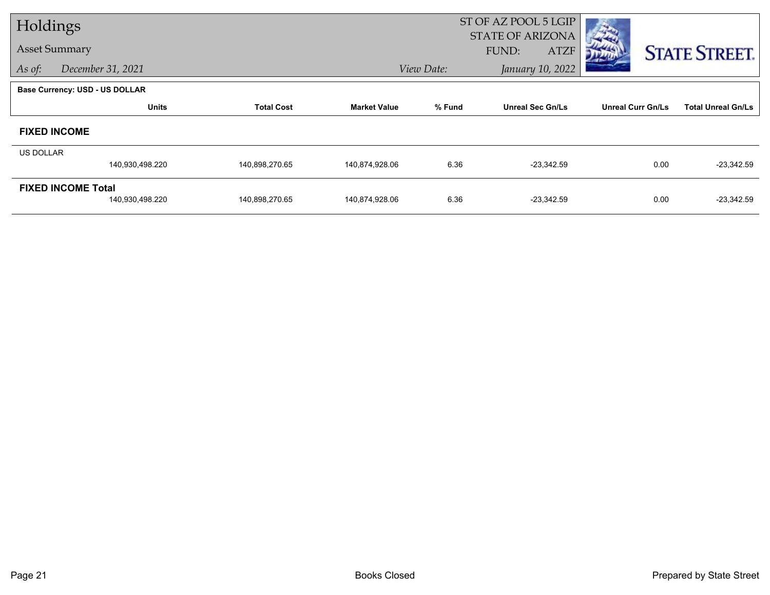| Holdings         |                                              |                   |                     |            | ST OF AZ POOL 5 LGIP                            |                          |                           |
|------------------|----------------------------------------------|-------------------|---------------------|------------|-------------------------------------------------|--------------------------|---------------------------|
|                  | <b>Asset Summary</b>                         |                   |                     |            | <b>STATE OF ARIZONA</b><br>FUND:<br><b>ATZF</b> |                          | <b>STATE STREET.</b>      |
| As of:           | December 31, 2021                            |                   |                     | View Date: | January 10, 2022                                |                          |                           |
|                  | <b>Base Currency: USD - US DOLLAR</b>        |                   |                     |            |                                                 |                          |                           |
|                  | <b>Units</b>                                 | <b>Total Cost</b> | <b>Market Value</b> | % Fund     | <b>Unreal Sec Gn/Ls</b>                         | <b>Unreal Curr Gn/Ls</b> | <b>Total Unreal Gn/Ls</b> |
|                  | <b>FIXED INCOME</b>                          |                   |                     |            |                                                 |                          |                           |
| <b>US DOLLAR</b> |                                              |                   |                     |            |                                                 |                          |                           |
|                  | 140,930,498.220                              | 140,898,270.65    | 140,874,928.06      | 6.36       | $-23,342.59$                                    | 0.00                     | $-23,342.59$              |
|                  | <b>FIXED INCOME Total</b><br>140,930,498.220 | 140,898,270.65    | 140,874,928.06      | 6.36       | $-23,342.59$                                    | 0.00                     | $-23,342.59$              |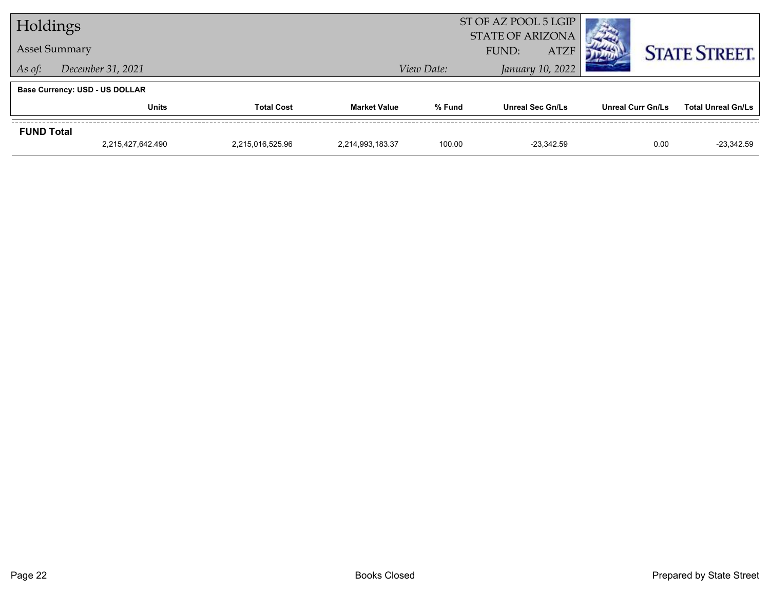| Holdings                    |                                       |                   | ST OF AZ POOL 5 LGIP<br><b>STATE OF ARIZONA</b> |            |                         |                          |                           |
|-----------------------------|---------------------------------------|-------------------|-------------------------------------------------|------------|-------------------------|--------------------------|---------------------------|
| <b>Asset Summary</b>        |                                       |                   | <b>ATZF</b><br>FUND:                            |            |                         | <b>STATE STREET.</b>     |                           |
| December 31, 2021<br>As of: |                                       |                   |                                                 | View Date: | January 10, 2022        |                          |                           |
|                             | <b>Base Currency: USD - US DOLLAR</b> |                   |                                                 |            |                         |                          |                           |
|                             | Units                                 | <b>Total Cost</b> | <b>Market Value</b>                             | % Fund     | <b>Unreal Sec Gn/Ls</b> | <b>Unreal Curr Gn/Ls</b> | <b>Total Unreal Gn/Ls</b> |
| <b>FUND Total</b>           |                                       |                   |                                                 |            |                         |                          |                           |
|                             | 2,215,427,642.490                     | 2,215,016,525.96  | 2,214,993,183.37                                | 100.00     | $-23.342.59$            | 0.00                     | $-23,342.59$              |